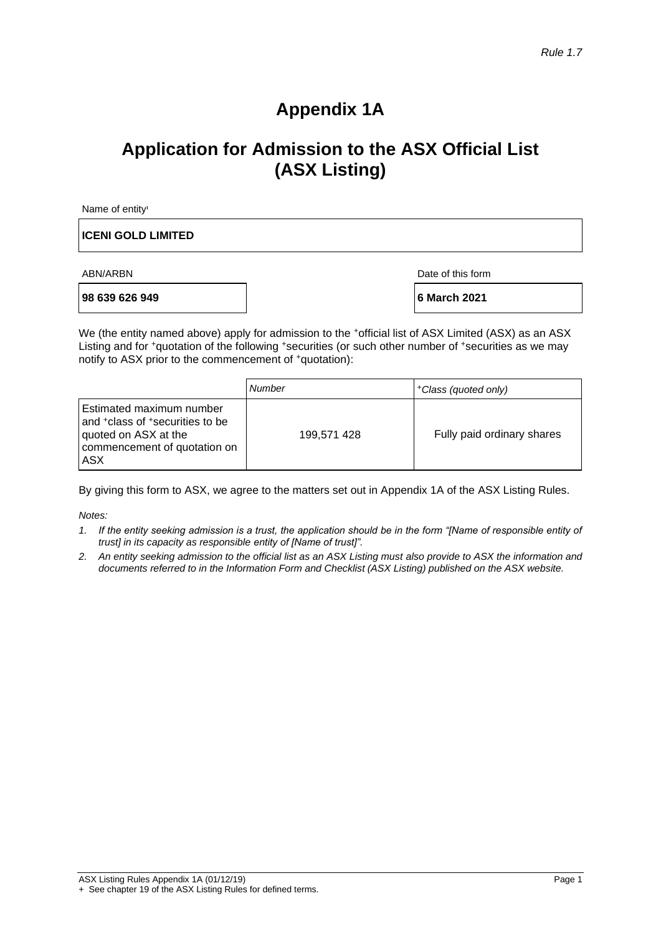# **Appendix 1A**

# **Application for Admission to the ASX Official List (ASX Listing)**

Name of entity<sup>1</sup>

#### **ICENI GOLD LIMITED**

**98 639 626 949 6 March 2021**

ABN/ARBN Date of this form

We (the entity named above) apply for admission to the +official list of ASX Limited (ASX) as an ASX Listing and for +quotation of the following +securities (or such other number of +securities as we may notify to ASX prior to the commencement of <sup>+</sup>quotation):

|                                                                                                                                                    | Number      | +Class (quoted only)       |
|----------------------------------------------------------------------------------------------------------------------------------------------------|-------------|----------------------------|
| Estimated maximum number<br>and <sup>+</sup> class of <sup>+</sup> securities to be<br>quoted on ASX at the<br>commencement of quotation on<br>ASX | 199,571 428 | Fully paid ordinary shares |

By giving this form to ASX, we agree to the matters set out in Appendix 1A of the ASX Listing Rules.

*Notes:*

- *1. If the entity seeking admission is a trust, the application should be in the form "[Name of responsible entity of trust] in its capacity as responsible entity of [Name of trust]".*
- *2. An entity seeking admission to the official list as an ASX Listing must also provide to ASX the information and documents referred to in the Information Form and Checklist (ASX Listing) published on the ASX website.*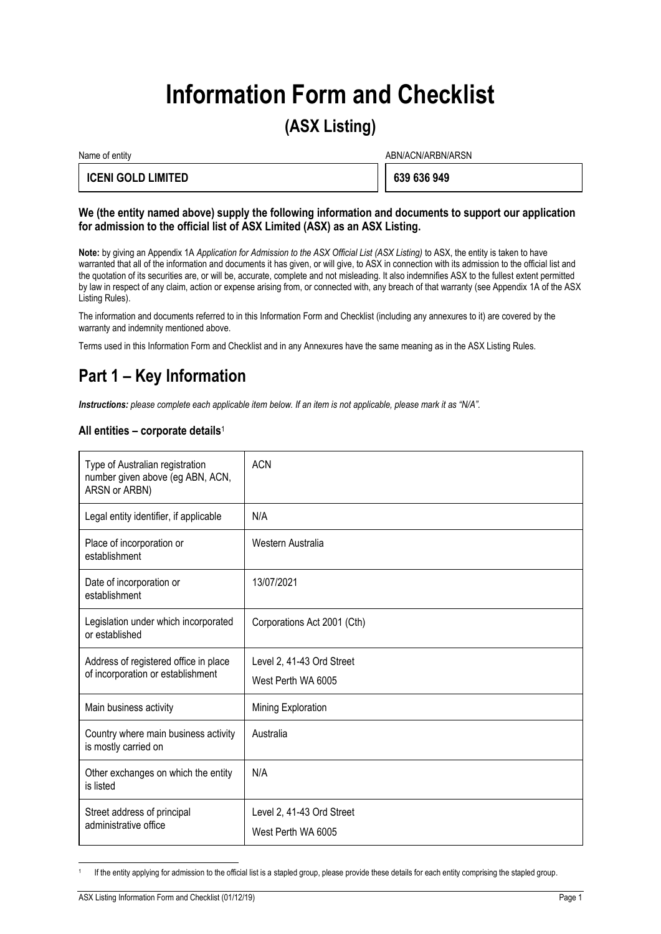# **Information Form and Checklist**

# **(ASX Listing)**

Name of entity and the state of entity and the state of entity and the state of entity and the state of entity  $ABN/ACN/ARBN/ARSN$ 

#### **ICENI GOLD LIMITED 639 636 949**

#### **We (the entity named above) supply the following information and documents to support our application for admission to the official list of ASX Limited (ASX) as an ASX Listing.**

**Note:** by giving an Appendix 1A *Application for Admission to the ASX Official List (ASX Listing)* to ASX, the entity is taken to have warranted that all of the information and documents it has given, or will give, to ASX in connection with its admission to the official list and the quotation of its securities are, or will be, accurate, complete and not misleading. It also indemnifies ASX to the fullest extent permitted by law in respect of any claim, action or expense arising from, or connected with, any breach of that warranty (see Appendix 1A of the ASX Listing Rules).

The information and documents referred to in this Information Form and Checklist (including any annexures to it) are covered by the warranty and indemnity mentioned above.

Terms used in this Information Form and Checklist and in any Annexures have the same meaning as in the ASX Listing Rules.

# **Part 1 – Key Information**

*Instructions: please complete each applicable item below. If an item is not applicable, please mark it as "N/A".*

#### **All entities – corporate details**<sup>1</sup>

| Type of Australian registration<br>number given above (eg ABN, ACN,<br>ARSN or ARBN) | <b>ACN</b>                                      |
|--------------------------------------------------------------------------------------|-------------------------------------------------|
| Legal entity identifier, if applicable                                               | N/A                                             |
| Place of incorporation or<br>establishment                                           | Western Australia                               |
| Date of incorporation or<br>establishment                                            | 13/07/2021                                      |
| Legislation under which incorporated<br>or established                               | Corporations Act 2001 (Cth)                     |
| Address of registered office in place<br>of incorporation or establishment           | Level 2, 41-43 Ord Street<br>West Perth WA 6005 |
| Main business activity                                                               | Mining Exploration                              |
| Country where main business activity<br>is mostly carried on                         | Australia                                       |
| Other exchanges on which the entity<br>is listed                                     | N/A                                             |
| Street address of principal<br>administrative office                                 | Level 2, 41-43 Ord Street<br>West Perth WA 6005 |

<sup>1</sup> If the entity applying for admission to the official list is a stapled group, please provide these details for each entity comprising the stapled group.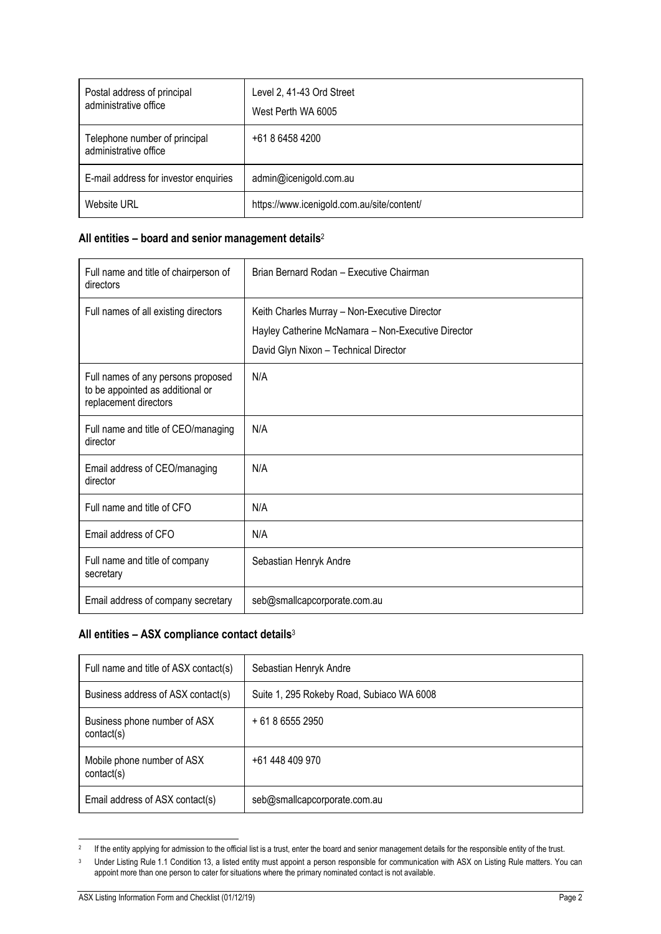| Postal address of principal<br>administrative office   | Level 2, 41-43 Ord Street<br>West Perth WA 6005 |
|--------------------------------------------------------|-------------------------------------------------|
| Telephone number of principal<br>administrative office | $+61864584200$                                  |
| E-mail address for investor enquiries                  | admin@icenigold.com.au                          |
| Website URL                                            | https://www.icenigold.com.au/site/content/      |

### **All entities – board and senior management details**<sup>2</sup>

| Full name and title of chairperson of<br>directors                                              | Brian Bernard Rodan - Executive Chairman                                                                                                     |
|-------------------------------------------------------------------------------------------------|----------------------------------------------------------------------------------------------------------------------------------------------|
| Full names of all existing directors                                                            | Keith Charles Murray - Non-Executive Director<br>Hayley Catherine McNamara - Non-Executive Director<br>David Glyn Nixon - Technical Director |
| Full names of any persons proposed<br>to be appointed as additional or<br>replacement directors | N/A                                                                                                                                          |
| Full name and title of CEO/managing<br>director                                                 | N/A                                                                                                                                          |
| Email address of CEO/managing<br>director                                                       | N/A                                                                                                                                          |
| Full name and title of CFO                                                                      | N/A                                                                                                                                          |
| Email address of CFO                                                                            | N/A                                                                                                                                          |
| Full name and title of company<br>secretary                                                     | Sebastian Henryk Andre                                                                                                                       |
| Email address of company secretary                                                              | seb@smallcapcorporate.com.au                                                                                                                 |

### **All entities – ASX compliance contact details**<sup>3</sup>

| Full name and title of ASX contact(s)      | Sebastian Henryk Andre                    |
|--------------------------------------------|-------------------------------------------|
| Business address of ASX contact(s)         | Suite 1, 295 Rokeby Road, Subiaco WA 6008 |
| Business phone number of ASX<br>contact(s) | $+61865552950$                            |
| Mobile phone number of ASX<br>contact(s)   | +61 448 409 970                           |
| Email address of ASX contact(s)            | seb@smallcapcorporate.com.au              |

 $2$  If the entity applying for admission to the official list is a trust, enter the board and senior management details for the responsible entity of the trust.

<sup>&</sup>lt;sup>3</sup> Under Listing Rule 1.1 Condition 13, a listed entity must appoint a person responsible for communication with ASX on Listing Rule matters. You can appoint more than one person to cater for situations where the primary nominated contact is not available.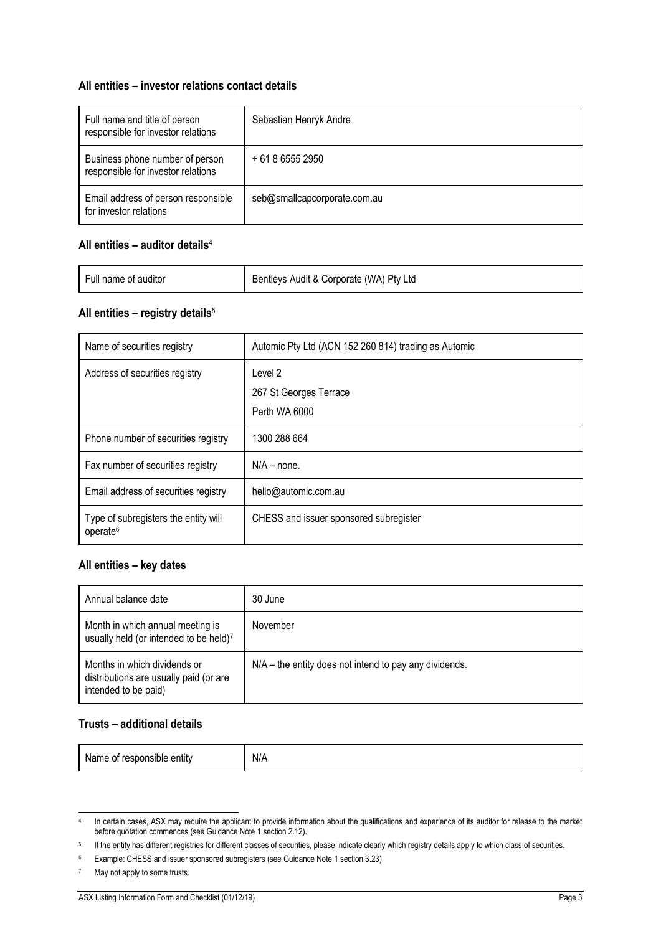#### **All entities – investor relations contact details**

| Full name and title of person<br>responsible for investor relations   | Sebastian Henryk Andre       |
|-----------------------------------------------------------------------|------------------------------|
| Business phone number of person<br>responsible for investor relations | + 61 8 6555 2950             |
| Email address of person responsible<br>for investor relations         | seb@smallcapcorporate.com.au |

#### **All entities – auditor details**<sup>4</sup>

| Full name of auditor | Bentleys Audit & Corporate (WA) Pty Ltd |
|----------------------|-----------------------------------------|
|                      |                                         |

#### **All entities – registry details**<sup>5</sup>

| Name of securities registry                                  | Automic Pty Ltd (ACN 152 260 814) trading as Automic |
|--------------------------------------------------------------|------------------------------------------------------|
| Address of securities registry                               | Level 2                                              |
|                                                              | 267 St Georges Terrace                               |
|                                                              | Perth WA 6000                                        |
| Phone number of securities registry                          | 1300 288 664                                         |
| Fax number of securities registry                            | $N/A - none$ .                                       |
| Email address of securities registry                         | hello@automic.com.au                                 |
| Type of subregisters the entity will<br>operate <sup>6</sup> | CHESS and issuer sponsored subregister               |

#### **All entities – key dates**

| Annual balance date                                                                            | 30 June                                                  |
|------------------------------------------------------------------------------------------------|----------------------------------------------------------|
| Month in which annual meeting is<br>usually held (or intended to be held)7                     | November                                                 |
| Months in which dividends or<br>distributions are usually paid (or are<br>intended to be paid) | $N/A$ – the entity does not intend to pay any dividends. |

#### **Trusts – additional details**

Name of responsible entity  $N/A$ 

<sup>4</sup> In certain cases, ASX may require the applicant to provide information about the qualifications and experience of its auditor for release to the market before quotation commences (see Guidance Note 1 section 2.12).

<sup>5</sup> If the entity has different registries for different classes of securities, please indicate clearly which registry details apply to which class of securities.

<sup>6</sup> Example: CHESS and issuer sponsored subregisters (see Guidance Note 1 section 3.23).

<sup>7</sup> May not apply to some trusts.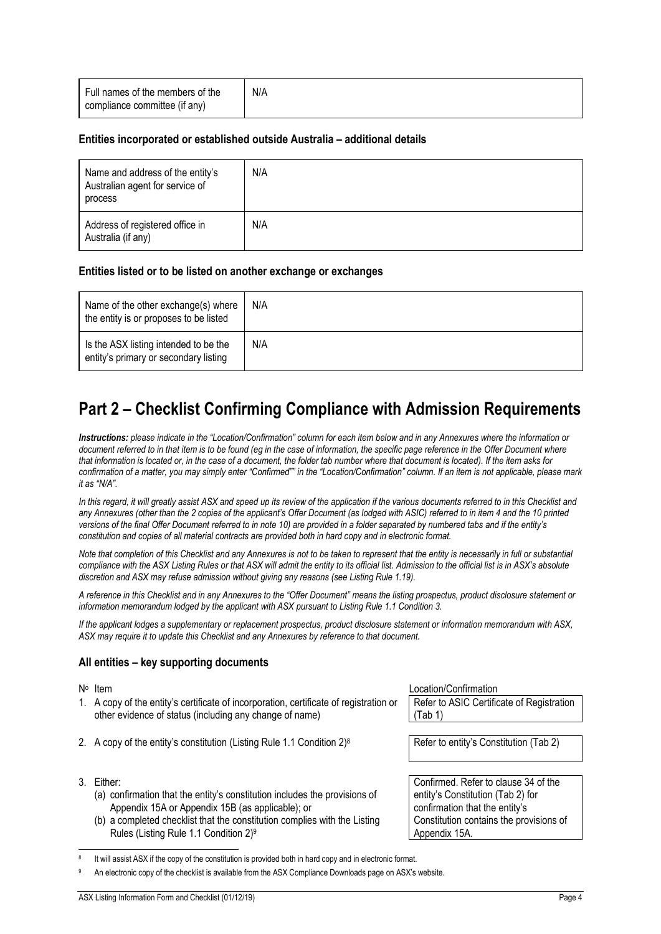| Full names of the members of the<br>compliance committee (if any) | N/A |
|-------------------------------------------------------------------|-----|
|                                                                   |     |

#### **Entities incorporated or established outside Australia – additional details**

| Name and address of the entity's<br>Australian agent for service of<br>process | N/A |
|--------------------------------------------------------------------------------|-----|
| Address of registered office in<br>Australia (if any)                          | N/A |

#### **Entities listed or to be listed on another exchange or exchanges**

| Name of the other exchange(s) where<br>the entity is or proposes to be listed  | N/A |
|--------------------------------------------------------------------------------|-----|
| Is the ASX listing intended to be the<br>entity's primary or secondary listing | N/A |

# **Part 2 – Checklist Confirming Compliance with Admission Requirements**

*Instructions: please indicate in the "Location/Confirmation" column for each item below and in any Annexures where the information or document referred to in that item is to be found (eg in the case of information, the specific page reference in the Offer Document where that information is located or, in the case of a document, the folder tab number where that document is located). If the item asks for confirmation of a matter, you may simply enter "Confirmed"" in the "Location/Confirmation" column. If an item is not applicable, please mark it as "N/A".*

In this regard, it will greatly assist ASX and speed up its review of the application if the various documents referred to in this Checklist and *any Annexures (other than the 2 copies of the applicant's Offer Document (as lodged with ASIC) referred to in item [4](#page-5-0) and the 10 printed versions of the final Offer Document referred to in note [10\)](#page-5-1) are provided in a folder separated by numbered tabs and if the entity's constitution and copies of all material contracts are provided both in hard copy and in electronic format.*

*Note that completion of this Checklist and any Annexures is not to be taken to represent that the entity is necessarily in full or substantial compliance with the ASX Listing Rules or that ASX will admit the entity to its official list. Admission to the official list is in ASX's absolute discretion and ASX may refuse admission without giving any reasons (see Listing Rule 1.19).*

*A reference in this Checklist and in any Annexures to the "Offer Document" means the listing prospectus, product disclosure statement or information memorandum lodged by the applicant with ASX pursuant to Listing Rule 1.1 Condition 3.*

*If the applicant lodges a supplementary or replacement prospectus, product disclosure statement or information memorandum with ASX, ASX may require it to update this Checklist and any Annexures by reference to that document.*

#### **All entities – key supporting documents**

- N<sup>o</sup> Item
- 1. A copy of the entity's certificate of incorporation, certificate of registration or other evidence of status (including any change of name)
- 2. A copy of the entity's constitution (Listing Rule 1.1 Condition  $2)^8$
- 3. Either:
	- (a) confirmation that the entity's constitution includes the provisions of Appendix 15A or Appendix 15B (as applicable); or
	- (b) a completed checklist that the constitution complies with the Listing Rules (Listing Rule 1.1 Condition 2)<sup>9</sup>

Location/Confirmation

Refer to ASIC Certificate of Registration (Tab 1)

Refer to entity's Constitution (Tab 2)

Confirmed. Refer to clause 34 of the entity's Constitution (Tab 2) for confirmation that the entity's Constitution contains the provisions of Appendix 15A.

<sup>8</sup> It will assist ASX if the copy of the constitution is provided both in hard copy and in electronic format.

An electronic copy of the checklist is available from the ASX Compliance Downloads page on ASX's website.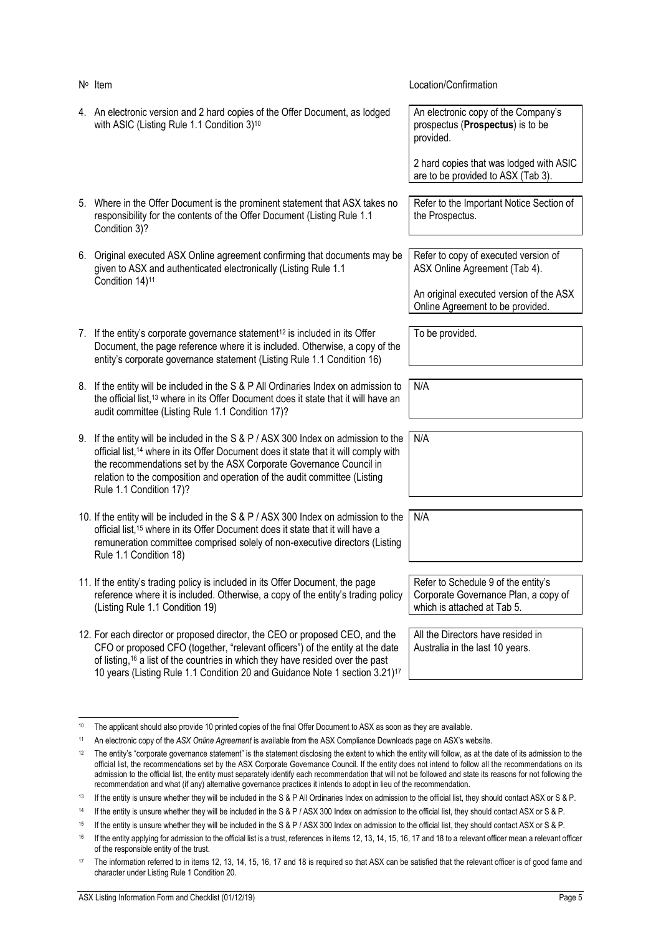<span id="page-5-1"></span><span id="page-5-0"></span>

| $N^{\circ}$ Item                                                                                                                                                                                                                                                                                                                                                    | Location/Confirmation                                                                                      |
|---------------------------------------------------------------------------------------------------------------------------------------------------------------------------------------------------------------------------------------------------------------------------------------------------------------------------------------------------------------------|------------------------------------------------------------------------------------------------------------|
| 4. An electronic version and 2 hard copies of the Offer Document, as lodged<br>with ASIC (Listing Rule 1.1 Condition 3) <sup>10</sup>                                                                                                                                                                                                                               | An electronic copy of the Company's<br>prospectus (Prospectus) is to be<br>provided.                       |
|                                                                                                                                                                                                                                                                                                                                                                     | 2 hard copies that was lodged with ASIC<br>are to be provided to ASX (Tab 3).                              |
| 5. Where in the Offer Document is the prominent statement that ASX takes no<br>responsibility for the contents of the Offer Document (Listing Rule 1.1<br>Condition 3)?                                                                                                                                                                                             | Refer to the Important Notice Section of<br>the Prospectus.                                                |
| 6. Original executed ASX Online agreement confirming that documents may be<br>given to ASX and authenticated electronically (Listing Rule 1.1<br>Condition 14) <sup>11</sup>                                                                                                                                                                                        | Refer to copy of executed version of<br>ASX Online Agreement (Tab 4).                                      |
|                                                                                                                                                                                                                                                                                                                                                                     | An original executed version of the ASX<br>Online Agreement to be provided.                                |
| 7. If the entity's corporate governance statement <sup>12</sup> is included in its Offer<br>Document, the page reference where it is included. Otherwise, a copy of the<br>entity's corporate governance statement (Listing Rule 1.1 Condition 16)                                                                                                                  | To be provided.                                                                                            |
| 8. If the entity will be included in the S & P All Ordinaries Index on admission to<br>the official list, <sup>13</sup> where in its Offer Document does it state that it will have an<br>audit committee (Listing Rule 1.1 Condition 17)?                                                                                                                          | N/A                                                                                                        |
| 9. If the entity will be included in the S & P / ASX 300 Index on admission to the<br>official list, <sup>14</sup> where in its Offer Document does it state that it will comply with<br>the recommendations set by the ASX Corporate Governance Council in<br>relation to the composition and operation of the audit committee (Listing<br>Rule 1.1 Condition 17)? | N/A                                                                                                        |
| 10. If the entity will be included in the S & P / ASX 300 Index on admission to the<br>official list, <sup>15</sup> where in its Offer Document does it state that it will have a<br>remuneration committee comprised solely of non-executive directors (Listing<br>Rule 1.1 Condition 18)                                                                          | N/A                                                                                                        |
| 11. If the entity's trading policy is included in its Offer Document, the page<br>reference where it is included. Otherwise, a copy of the entity's trading policy<br>(Listing Rule 1.1 Condition 19)                                                                                                                                                               | Refer to Schedule 9 of the entity's<br>Corporate Governance Plan, a copy of<br>which is attached at Tab 5. |
| 12. For each director or proposed director, the CEO or proposed CEO, and the<br>CFO or proposed CFO (together, "relevant officers") of the entity at the date<br>of listing, <sup>16</sup> a list of the countries in which they have resided over the past<br>10 years (Listing Rule 1.1 Condition 20 and Guidance Note 1 section 3.21) <sup>17</sup>              | All the Directors have resided in<br>Australia in the last 10 years.                                       |

<span id="page-5-2"></span><sup>&</sup>lt;sup>10</sup> The applicant should also provide 10 printed copies of the final Offer Document to ASX as soon as they are available.

<sup>11</sup> An electronic copy of the *ASX Online Agreement* is available from the ASX Compliance Downloads page on ASX's website.

<sup>&</sup>lt;sup>12</sup> The entity's "corporate governance statement" is the statement disclosing the extent to which the entity will follow, as at the date of its admission to the official list, the recommendations set by the ASX Corporate Governance Council. If the entity does not intend to follow all the recommendations on its admission to the official list, the entity must separately identify each recommendation that will not be followed and state its reasons for not following the recommendation and what (if any) alternative governance practices it intends to adopt in lieu of the recommendation.

<sup>&</sup>lt;sup>13</sup> If the entity is unsure whether they will be included in the S & P All Ordinaries Index on admission to the official list, they should contact ASX or S & P.

<sup>14</sup> If the entity is unsure whether they will be included in the S & P / ASX 300 Index on admission to the official list, they should contact ASX or S & P.

<sup>15</sup> If the entity is unsure whether they will be included in the S & P / ASX 300 Index on admission to the official list, they should contact ASX or S & P.

<sup>&</sup>lt;sup>16</sup> If the entity applying for admission to the official list is a trust, references in items [12,](#page-5-2) [13,](#page-6-0) [14,](#page-6-1) [15,](#page-6-2) [16,](#page-6-3) [17](#page-6-4) an[d 18](#page-6-5) to a relevant officer mean a relevant officer of the responsible entity of the trust.

<sup>&</sup>lt;sup>17</sup> The information referred to in items [12,](#page-5-2) [13,](#page-6-0) [14,](#page-6-1) [15,](#page-6-2) [16,](#page-6-3) [17](#page-6-4) an[d 18](#page-6-5) is required so that ASX can be satisfied that the relevant officer is of good fame and character under Listing Rule 1 Condition 20.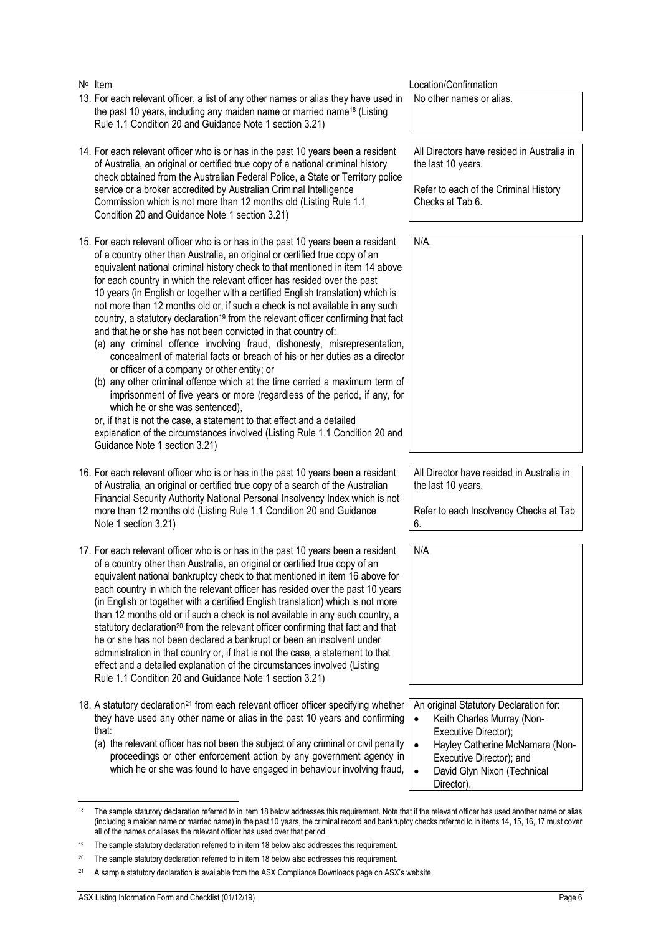<span id="page-6-2"></span><span id="page-6-1"></span><span id="page-6-0"></span>

| $N^{\circ}$ Item<br>13. For each relevant officer, a list of any other names or alias they have used in<br>the past 10 years, including any maiden name or married name <sup>18</sup> (Listing<br>Rule 1.1 Condition 20 and Guidance Note 1 section 3.21)                                                                                                                                                                                                                                                                                                                                                                                                                                                                                                                                                                                                                                                                                                                                                                                                                                                                                                                                                                                                           | Location/Confirmation<br>No other names or alias.                                                                             |
|---------------------------------------------------------------------------------------------------------------------------------------------------------------------------------------------------------------------------------------------------------------------------------------------------------------------------------------------------------------------------------------------------------------------------------------------------------------------------------------------------------------------------------------------------------------------------------------------------------------------------------------------------------------------------------------------------------------------------------------------------------------------------------------------------------------------------------------------------------------------------------------------------------------------------------------------------------------------------------------------------------------------------------------------------------------------------------------------------------------------------------------------------------------------------------------------------------------------------------------------------------------------|-------------------------------------------------------------------------------------------------------------------------------|
| 14. For each relevant officer who is or has in the past 10 years been a resident<br>of Australia, an original or certified true copy of a national criminal history<br>check obtained from the Australian Federal Police, a State or Territory police<br>service or a broker accredited by Australian Criminal Intelligence<br>Commission which is not more than 12 months old (Listing Rule 1.1)<br>Condition 20 and Guidance Note 1 section 3.21)                                                                                                                                                                                                                                                                                                                                                                                                                                                                                                                                                                                                                                                                                                                                                                                                                 | All Directors have resided in Australia in<br>the last 10 years.<br>Refer to each of the Criminal History<br>Checks at Tab 6. |
| 15. For each relevant officer who is or has in the past 10 years been a resident<br>of a country other than Australia, an original or certified true copy of an<br>equivalent national criminal history check to that mentioned in item 14 above<br>for each country in which the relevant officer has resided over the past<br>10 years (in English or together with a certified English translation) which is<br>not more than 12 months old or, if such a check is not available in any such<br>country, a statutory declaration <sup>19</sup> from the relevant officer confirming that fact<br>and that he or she has not been convicted in that country of:<br>(a) any criminal offence involving fraud, dishonesty, misrepresentation,<br>concealment of material facts or breach of his or her duties as a director<br>or officer of a company or other entity; or<br>(b) any other criminal offence which at the time carried a maximum term of<br>imprisonment of five years or more (regardless of the period, if any, for<br>which he or she was sentenced),<br>or, if that is not the case, a statement to that effect and a detailed<br>explanation of the circumstances involved (Listing Rule 1.1 Condition 20 and<br>Guidance Note 1 section 3.21) | N/A.                                                                                                                          |
| 16. For each relevant officer who is or has in the past 10 years been a resident<br>of Australia, an original or certified true copy of a search of the Australian<br>Financial Security Authority National Personal Insolvency Index which is not<br>more than 12 months old (Listing Rule 1.1 Condition 20 and Guidance<br>Note 1 section 3.21)                                                                                                                                                                                                                                                                                                                                                                                                                                                                                                                                                                                                                                                                                                                                                                                                                                                                                                                   | All Director have resided in Australia in<br>the last 10 years.<br>Refer to each Insolvency Checks at Tab<br>6.               |
| 17. For each relevant officer who is or has in the past 10 years been a resident<br>of a country other than Australia, an original or certified true copy of an<br>equivalent national bankruptcy check to that mentioned in item 16 above for<br>each country in which the relevant officer has resided over the past 10 years<br>(in English or together with a certified English translation) which is not more<br>than 12 months old or if such a check is not available in any such country, a<br>statutory declaration <sup>20</sup> from the relevant officer confirming that fact and that<br>he or she has not been declared a bankrupt or been an insolvent under<br>administration in that country or, if that is not the case, a statement to that<br>effect and a detailed explanation of the circumstances involved (Listing<br>Rule 1.1 Condition 20 and Guidance Note 1 section 3.21)                                                                                                                                                                                                                                                                                                                                                               | N/A                                                                                                                           |
| 18. A statutory declaration <sup>21</sup> from each relevant officer officer specifying whether<br>they have used any other name or alias in the past 10 years and confirming<br>that:                                                                                                                                                                                                                                                                                                                                                                                                                                                                                                                                                                                                                                                                                                                                                                                                                                                                                                                                                                                                                                                                              | An original Statutory Declaration for:<br>Keith Charles Murray (Non-<br>$\bullet$<br>Executive Director);                     |

<span id="page-6-5"></span><span id="page-6-4"></span><span id="page-6-3"></span>(a) the relevant officer has not been the subject of any criminal or civil penalty proceedings or other enforcement action by any government agency in which he or she was found to have engaged in behaviour involving fraud,

• Hayley Catherine McNamara (Non-Executive Director); and • David Glyn Nixon (Technical

Director).

<sup>&</sup>lt;sup>[18](#page-6-5)</sup> The sample statutory declaration referred to in item 18 below addresses this requirement. Note that if the relevant officer has used another name or alias (including a maiden name or married name) in the past 10 years, the criminal record and bankruptcy checks referred to in items [14,](#page-6-1) [15,](#page-6-2) [16,](#page-6-3) [17](#page-6-4) must cover all of the names or aliases the relevant officer has used over that period.

<sup>&</sup>lt;sup>19</sup> The sample statutory declaration referred to in item [18](#page-6-5) below also addresses this requirement.

<sup>&</sup>lt;sup>20</sup> The sample statutory declaration referred to in item [18](#page-6-5) below also addresses this requirement.

<sup>21</sup> A sample statutory declaration is available from the ASX Compliance Downloads page on ASX's website.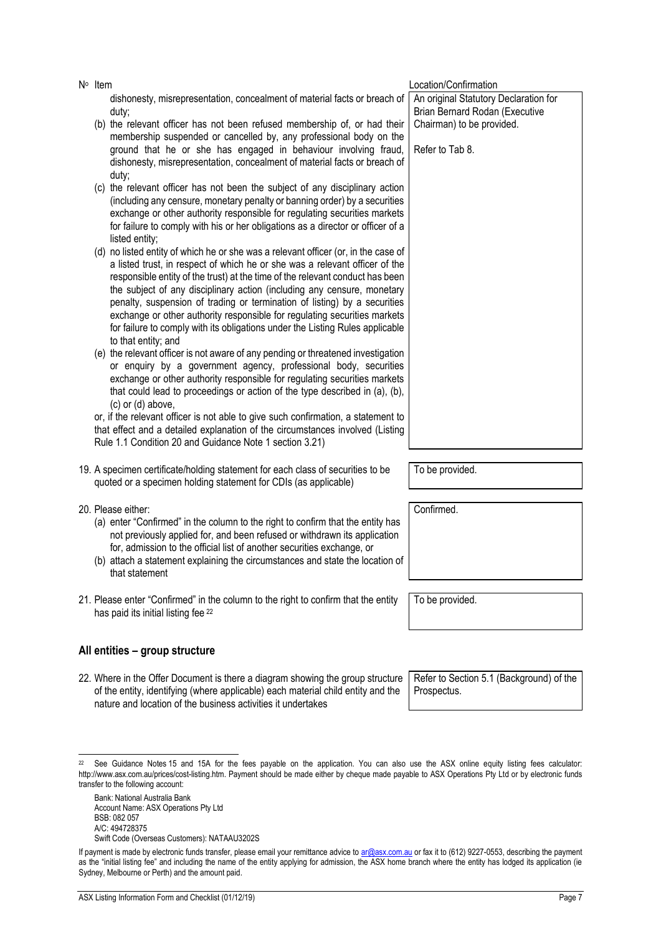- Location/Confirmation dishonesty, misrepresentation, concealment of material facts or breach of duty; membership suspended or cancelled by, any professional body on the ground that he or she has engaged in behaviour involving fraud, dishonesty, misrepresentation, concealment of material facts or breach of duty; (including any censure, monetary penalty or banning order) by a securities exchange or other authority responsible for regulating securities markets for failure to comply with his or her obligations as a director or officer of a listed entity; a listed trust, in respect of which he or she was a relevant officer of the responsible entity of the trust) at the time of the relevant conduct has been the subject of any disciplinary action (including any censure, monetary penalty, suspension of trading or termination of listing) by a securities exchange or other authority responsible for regulating securities markets for failure to comply with its obligations under the Listing Rules applicable to that entity; and or enquiry by a government agency, professional body, securities exchange or other authority responsible for regulating securities markets that could lead to proceedings or action of the type described in (a), (b), (c) or (d) above, or, if the relevant officer is not able to give such confirmation, a statement to that effect and a detailed explanation of the circumstances involved (Listing Rule 1.1 Condition 20 and Guidance Note 1 section 3.21) An original Statutory Declaration for Brian Bernard Rodan (Executive Chairman) to be provided. Refer to Tab 8. 19. A specimen certificate/holding statement for each class of securities to be To be provided.
- 20. Please either:
	- (a) enter "Confirmed" in the column to the right to confirm that the entity has not previously applied for, and been refused or withdrawn its application for, admission to the official list of another securities exchange, or
	- (b) attach a statement explaining the circumstances and state the location of that statement
- 21. Please enter "Confirmed" in the column to the right to confirm that the entity has paid its initial listing fee <sup>22</sup>

## **All entities – group structure**

22. Where in the Offer Document is there a diagram showing the group structure of the entity, identifying (where applicable) each material child entity and the nature and location of the business activities it undertakes

Refer to Section 5.1 (Background) of the Prospectus.

#### $22$  See Guidance Notes 15 and 15A for the fees payable on the application. You can also use the ASX online equity listing fees calculator: http://www.asx.com.au/prices/cost-listing.htm. Payment should be made either by cheque made payable to ASX Operations Pty Ltd or by electronic funds transfer to the following account:

Bank: National Australia Bank Account Name: ASX Operations Pty Ltd BSB: 082 057 A/C: 494728375 Swift Code (Overseas Customers): NATAAU3202S Confirmed.

To be provided.

N<sup>o</sup> Item

- (b) the relevant officer has not been refused membership of, or had their
- (c) the relevant officer has not been the subject of any disciplinary action
- (d) no listed entity of which he or she was a relevant officer (or, in the case of
- (e) the relevant officer is not aware of any pending or threatened investigation

- - quoted or a specimen holding statement for CDIs (as applicable)

If payment is made by electronic funds transfer, please email your remittance advice t[o ar@asx.com.au](mailto:ar@asx.com.au) or fax it to (612) 9227-0553, describing the payment as the "initial listing fee" and including the name of the entity applying for admission, the ASX home branch where the entity has lodged its application (ie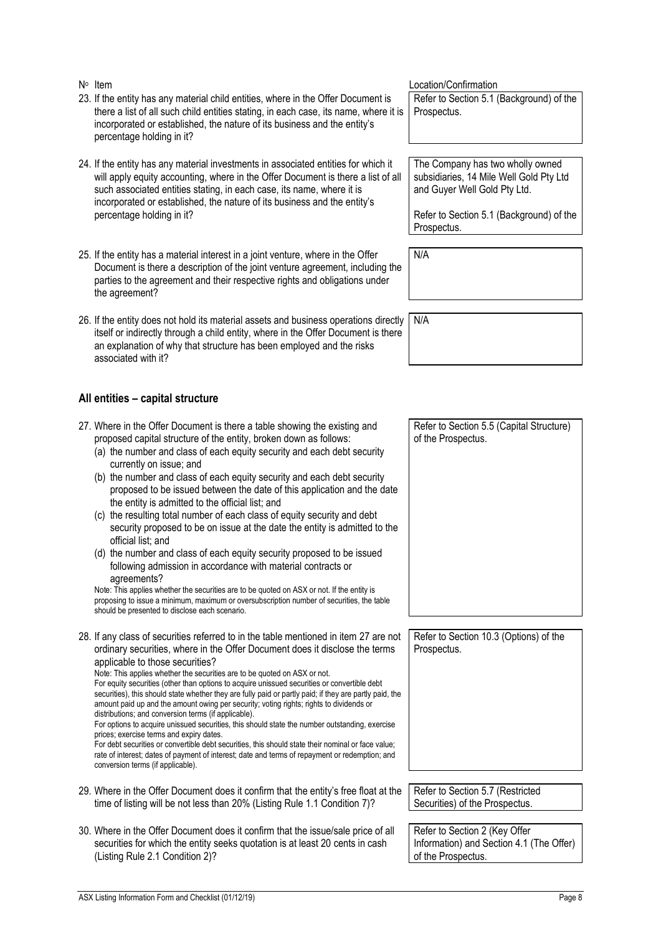- 23. If the entity has any material child entities, where in the Offer Document is there a list of all such child entities stating, in each case, its name, where it is incorporated or established, the nature of its business and the entity's percentage holding in it?
- 24. If the entity has any material investments in associated entities for which it will apply equity accounting, where in the Offer Document is there a list of all such associated entities stating, in each case, its name, where it is incorporated or established, the nature of its business and the entity's percentage holding in it?
- 25. If the entity has a material interest in a joint venture, where in the Offer Document is there a description of the joint venture agreement, including the parties to the agreement and their respective rights and obligations under the agreement?
- 26. If the entity does not hold its material assets and business operations directly itself or indirectly through a child entity, where in the Offer Document is there an explanation of why that structure has been employed and the risks associated with it?

#### **All entities – capital structure**

<span id="page-8-0"></span>27. Where in the Offer Document is there a table showing the existing and proposed capital structure of the entity, broken down as follows: (a) the number and class of each equity security and each debt security currently on issue; and (b) the number and class of each equity security and each debt security proposed to be issued between the date of this application and the date the entity is admitted to the official list; and (c) the resulting total number of each class of equity security and debt security proposed to be on issue at the date the entity is admitted to the official list; and (d) the number and class of each equity security proposed to be issued following admission in accordance with material contracts or agreements? Note: This applies whether the securities are to be quoted on ASX or not. If the entity is proposing to issue a minimum, maximum or oversubscription number of securities, the table should be presented to disclose each scenario. Refer to Section 5.5 (Capital Structure) of the Prospectus. 28. If any class of securities referred to in the table mentioned in item [27](#page-8-0) are not ordinary securities, where in the Offer Document does it disclose the terms applicable to those securities? Note: This applies whether the securities are to be quoted on ASX or not. For equity securities (other than options to acquire unissued securities or convertible debt securities), this should state whether they are fully paid or partly paid; if they are partly paid, the amount paid up and the amount owing per security; voting rights; rights to dividends or distributions; and conversion terms (if applicable). For options to acquire unissued securities, this should state the number outstanding, exercise prices; exercise terms and expiry dates. For debt securities or convertible debt securities, this should state their nominal or face value; rate of interest; dates of payment of interest; date and terms of repayment or redemption; and conversion terms (if applicable). Refer to Section 10.3 (Options) of the Prospectus. 29. Where in the Offer Document does it confirm that the entity's free float at the time of listing will be not less than 20% (Listing Rule 1.1 Condition 7)? Refer to Section 5.7 (Restricted Securities) of the Prospectus. 30. Where in the Offer Document does it confirm that the issue/sale price of all securities for which the entity seeks quotation is at least 20 cents in cash (Listing Rule 2.1 Condition 2)? Refer to Section 2 (Key Offer Information) and Section 4.1 (The Offer) of the Prospectus.

Location/Confirmation

Refer to Section 5.1 (Background) of the Prospectus.

The Company has two wholly owned subsidiaries, 14 Mile Well Gold Pty Ltd and Guyer Well Gold Pty Ltd.

Refer to Section 5.1 (Background) of the Prospectus.

N/A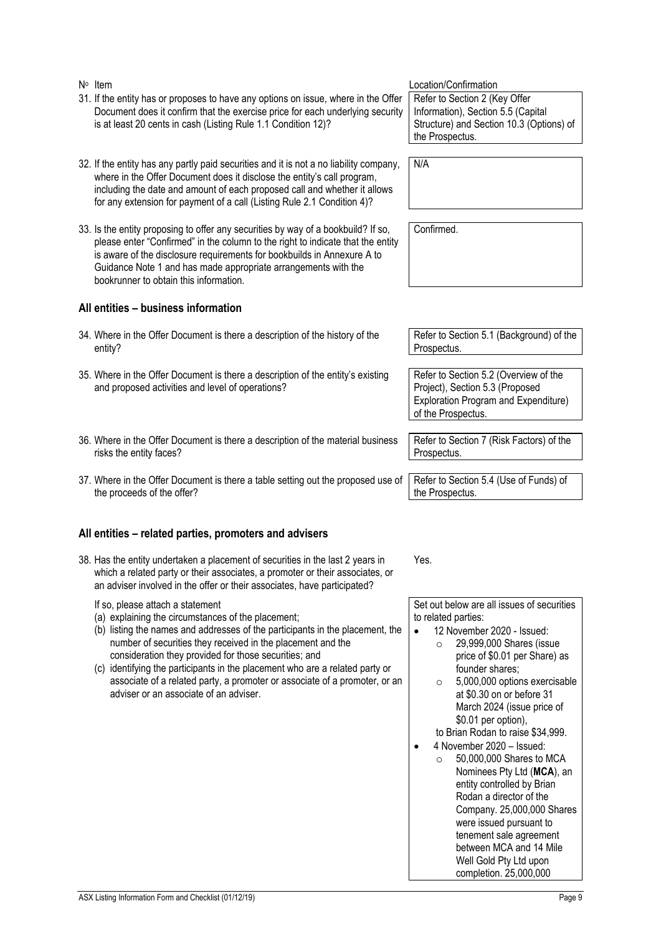| N/A<br>32. If the entity has any partly paid securities and it is not a no liability company,<br>where in the Offer Document does it disclose the entity's call program,<br>including the date and amount of each proposed call and whether it allows<br>for any extension for payment of a call (Listing Rule 2.1 Condition 4)?<br>33. Is the entity proposing to offer any securities by way of a bookbuild? If so,<br>Confirmed.<br>please enter "Confirmed" in the column to the right to indicate that the entity<br>is aware of the disclosure requirements for bookbuilds in Annexure A to<br>Guidance Note 1 and has made appropriate arrangements with the<br>bookrunner to obtain this information.<br>All entities - business information<br>Refer to Section 5.1 (Background) of the<br>34. Where in the Offer Document is there a description of the history of the<br>entity?<br>Prospectus.<br>Refer to Section 5.2 (Overview of the<br>35. Where in the Offer Document is there a description of the entity's existing<br>Project), Section 5.3 (Proposed<br>and proposed activities and level of operations?<br>Exploration Program and Expenditure)<br>of the Prospectus.<br>36. Where in the Offer Document is there a description of the material business<br>Refer to Section 7 (Risk Factors) of the<br>risks the entity faces?<br>Prospectus.<br>Refer to Section 5.4 (Use of Funds) of<br>37. Where in the Offer Document is there a table setting out the proposed use of<br>the proceeds of the offer?<br>the Prospectus.<br>All entities - related parties, promoters and advisers<br>38. Has the entity undertaken a placement of securities in the last 2 years in<br>Yes.<br>which a related party or their associates, a promoter or their associates, or<br>an adviser involved in the offer or their associates, have participated?<br>Set out below are all issues of securities<br>If so, please attach a statement<br>(a) explaining the circumstances of the placement;<br>to related parties:<br>(b) listing the names and addresses of the participants in the placement, the<br>12 November 2020 - Issued:<br>$\bullet$<br>number of securities they received in the placement and the<br>29,999,000 Shares (issue<br>$\Omega$<br>consideration they provided for those securities; and<br>price of \$0.01 per Share) as<br>identifying the participants in the placement who are a related party or<br>founder shares:<br>(C)<br>associate of a related party, a promoter or associate of a promoter, or an<br>5,000,000 options exercisable<br>$\circ$<br>adviser or an associate of an adviser.<br>at \$0.30 on or before 31<br>March 2024 (issue price of<br>\$0.01 per option),<br>to Brian Rodan to raise \$34,999.<br>4 November 2020 - Issued:<br>50,000,000 Shares to MCA<br>$\circ$<br>Nominees Pty Ltd (MCA), an<br>entity controlled by Brian<br>Rodan a director of the<br>Company. 25,000,000 Shares<br>were issued pursuant to<br>tenement sale agreement<br>between MCA and 14 Mile<br>Well Gold Pty Ltd upon<br>completion. 25,000,000<br>ASX Listing Information Form and Checklist (01/12/19)<br>Page 9 | Document does it confirm that the exercise price for each underlying security<br>is at least 20 cents in cash (Listing Rule 1.1 Condition 12)? | Information), Section 5.5 (Capital<br>Structure) and Section 10.3 (Options) of<br>the Prospectus. |
|--------------------------------------------------------------------------------------------------------------------------------------------------------------------------------------------------------------------------------------------------------------------------------------------------------------------------------------------------------------------------------------------------------------------------------------------------------------------------------------------------------------------------------------------------------------------------------------------------------------------------------------------------------------------------------------------------------------------------------------------------------------------------------------------------------------------------------------------------------------------------------------------------------------------------------------------------------------------------------------------------------------------------------------------------------------------------------------------------------------------------------------------------------------------------------------------------------------------------------------------------------------------------------------------------------------------------------------------------------------------------------------------------------------------------------------------------------------------------------------------------------------------------------------------------------------------------------------------------------------------------------------------------------------------------------------------------------------------------------------------------------------------------------------------------------------------------------------------------------------------------------------------------------------------------------------------------------------------------------------------------------------------------------------------------------------------------------------------------------------------------------------------------------------------------------------------------------------------------------------------------------------------------------------------------------------------------------------------------------------------------------------------------------------------------------------------------------------------------------------------------------------------------------------------------------------------------------------------------------------------------------------------------------------------------------------------------------------------------------------------------------------------------------------------------------------------------------------------------------------------------------------------------------------------------------------------------------------------------------------------------------------------------------------------------------------------------------------------------------------------------------------------------------------------|------------------------------------------------------------------------------------------------------------------------------------------------|---------------------------------------------------------------------------------------------------|
|                                                                                                                                                                                                                                                                                                                                                                                                                                                                                                                                                                                                                                                                                                                                                                                                                                                                                                                                                                                                                                                                                                                                                                                                                                                                                                                                                                                                                                                                                                                                                                                                                                                                                                                                                                                                                                                                                                                                                                                                                                                                                                                                                                                                                                                                                                                                                                                                                                                                                                                                                                                                                                                                                                                                                                                                                                                                                                                                                                                                                                                                                                                                                                    |                                                                                                                                                |                                                                                                   |
|                                                                                                                                                                                                                                                                                                                                                                                                                                                                                                                                                                                                                                                                                                                                                                                                                                                                                                                                                                                                                                                                                                                                                                                                                                                                                                                                                                                                                                                                                                                                                                                                                                                                                                                                                                                                                                                                                                                                                                                                                                                                                                                                                                                                                                                                                                                                                                                                                                                                                                                                                                                                                                                                                                                                                                                                                                                                                                                                                                                                                                                                                                                                                                    |                                                                                                                                                |                                                                                                   |
|                                                                                                                                                                                                                                                                                                                                                                                                                                                                                                                                                                                                                                                                                                                                                                                                                                                                                                                                                                                                                                                                                                                                                                                                                                                                                                                                                                                                                                                                                                                                                                                                                                                                                                                                                                                                                                                                                                                                                                                                                                                                                                                                                                                                                                                                                                                                                                                                                                                                                                                                                                                                                                                                                                                                                                                                                                                                                                                                                                                                                                                                                                                                                                    |                                                                                                                                                |                                                                                                   |
|                                                                                                                                                                                                                                                                                                                                                                                                                                                                                                                                                                                                                                                                                                                                                                                                                                                                                                                                                                                                                                                                                                                                                                                                                                                                                                                                                                                                                                                                                                                                                                                                                                                                                                                                                                                                                                                                                                                                                                                                                                                                                                                                                                                                                                                                                                                                                                                                                                                                                                                                                                                                                                                                                                                                                                                                                                                                                                                                                                                                                                                                                                                                                                    |                                                                                                                                                |                                                                                                   |
|                                                                                                                                                                                                                                                                                                                                                                                                                                                                                                                                                                                                                                                                                                                                                                                                                                                                                                                                                                                                                                                                                                                                                                                                                                                                                                                                                                                                                                                                                                                                                                                                                                                                                                                                                                                                                                                                                                                                                                                                                                                                                                                                                                                                                                                                                                                                                                                                                                                                                                                                                                                                                                                                                                                                                                                                                                                                                                                                                                                                                                                                                                                                                                    |                                                                                                                                                |                                                                                                   |
|                                                                                                                                                                                                                                                                                                                                                                                                                                                                                                                                                                                                                                                                                                                                                                                                                                                                                                                                                                                                                                                                                                                                                                                                                                                                                                                                                                                                                                                                                                                                                                                                                                                                                                                                                                                                                                                                                                                                                                                                                                                                                                                                                                                                                                                                                                                                                                                                                                                                                                                                                                                                                                                                                                                                                                                                                                                                                                                                                                                                                                                                                                                                                                    |                                                                                                                                                |                                                                                                   |
|                                                                                                                                                                                                                                                                                                                                                                                                                                                                                                                                                                                                                                                                                                                                                                                                                                                                                                                                                                                                                                                                                                                                                                                                                                                                                                                                                                                                                                                                                                                                                                                                                                                                                                                                                                                                                                                                                                                                                                                                                                                                                                                                                                                                                                                                                                                                                                                                                                                                                                                                                                                                                                                                                                                                                                                                                                                                                                                                                                                                                                                                                                                                                                    |                                                                                                                                                |                                                                                                   |
|                                                                                                                                                                                                                                                                                                                                                                                                                                                                                                                                                                                                                                                                                                                                                                                                                                                                                                                                                                                                                                                                                                                                                                                                                                                                                                                                                                                                                                                                                                                                                                                                                                                                                                                                                                                                                                                                                                                                                                                                                                                                                                                                                                                                                                                                                                                                                                                                                                                                                                                                                                                                                                                                                                                                                                                                                                                                                                                                                                                                                                                                                                                                                                    |                                                                                                                                                |                                                                                                   |
|                                                                                                                                                                                                                                                                                                                                                                                                                                                                                                                                                                                                                                                                                                                                                                                                                                                                                                                                                                                                                                                                                                                                                                                                                                                                                                                                                                                                                                                                                                                                                                                                                                                                                                                                                                                                                                                                                                                                                                                                                                                                                                                                                                                                                                                                                                                                                                                                                                                                                                                                                                                                                                                                                                                                                                                                                                                                                                                                                                                                                                                                                                                                                                    |                                                                                                                                                |                                                                                                   |
|                                                                                                                                                                                                                                                                                                                                                                                                                                                                                                                                                                                                                                                                                                                                                                                                                                                                                                                                                                                                                                                                                                                                                                                                                                                                                                                                                                                                                                                                                                                                                                                                                                                                                                                                                                                                                                                                                                                                                                                                                                                                                                                                                                                                                                                                                                                                                                                                                                                                                                                                                                                                                                                                                                                                                                                                                                                                                                                                                                                                                                                                                                                                                                    |                                                                                                                                                |                                                                                                   |
|                                                                                                                                                                                                                                                                                                                                                                                                                                                                                                                                                                                                                                                                                                                                                                                                                                                                                                                                                                                                                                                                                                                                                                                                                                                                                                                                                                                                                                                                                                                                                                                                                                                                                                                                                                                                                                                                                                                                                                                                                                                                                                                                                                                                                                                                                                                                                                                                                                                                                                                                                                                                                                                                                                                                                                                                                                                                                                                                                                                                                                                                                                                                                                    |                                                                                                                                                |                                                                                                   |

No Item Location/Confirmation

31. If the entity has or proposes to have any options on issue, where in the Offer Refer to Section 2 (Key Offer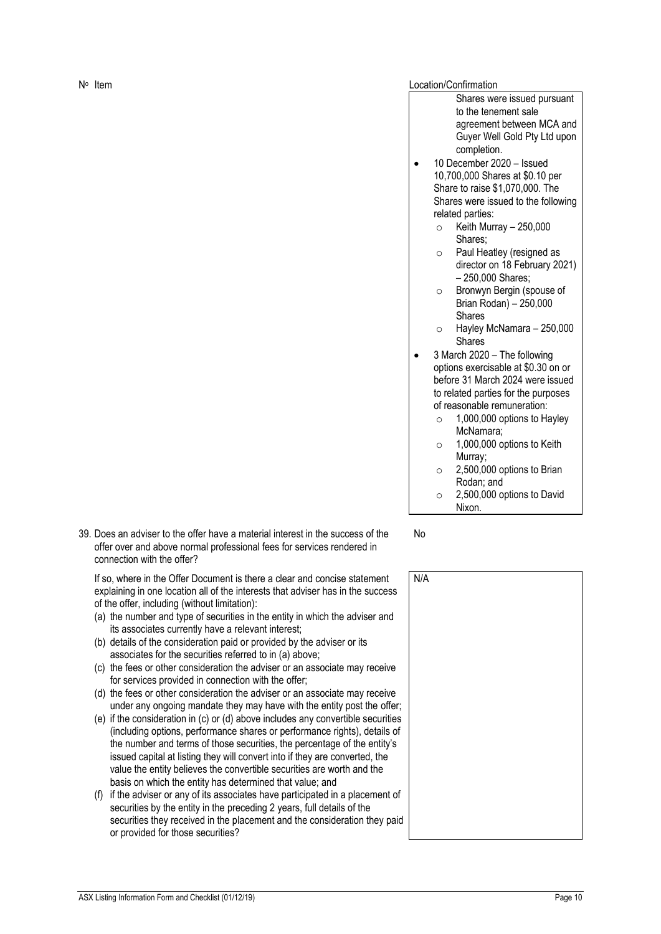39. Does an adviser to the offer have a material interest in the success of the offer over and above normal professional fees for services rendered in connection with the offer?

If so, where in the Offer Document is there a clear and concise statement explaining in one location all of the interests that adviser has in the success of the offer, including (without limitation):

- (a) the number and type of securities in the entity in which the adviser and its associates currently have a relevant interest;
- (b) details of the consideration paid or provided by the adviser or its associates for the securities referred to in (a) above;
- (c) the fees or other consideration the adviser or an associate may receive for services provided in connection with the offer;
- (d) the fees or other consideration the adviser or an associate may receive under any ongoing mandate they may have with the entity post the offer;
- (e) if the consideration in (c) or (d) above includes any convertible securities (including options, performance shares or performance rights), details of the number and terms of those securities, the percentage of the entity's issued capital at listing they will convert into if they are converted, the value the entity believes the convertible securities are worth and the basis on which the entity has determined that value; and
- (f) if the adviser or any of its associates have participated in a placement of securities by the entity in the preceding 2 years, full details of the securities they received in the placement and the consideration they paid or provided for those securities?

Location/Confirmation

- Shares were issued pursuant to the tenement sale agreement between MCA and Guyer Well Gold Pty Ltd upon completion.
- 10 December 2020 Issued 10,700,000 Shares at \$0.10 per Share to raise \$1,070,000. The Shares were issued to the following related parties:
	- $\circ$  Keith Murray 250,000 Shares;
	- o Paul Heatley (resigned as director on 18 February 2021) – 250,000 Shares;
	- o Bronwyn Bergin (spouse of Brian Rodan) – 250,000 Shares
	- o Hayley McNamara 250,000 Shares
- 3 March 2020 The following options exercisable at \$0.30 on or before 31 March 2024 were issued to related parties for the purposes of reasonable remuneration:
	- $\circ$  1,000,000 options to Hayley McNamara;
	- $\circ$  1,000,000 options to Keith Murray;
	- o 2,500,000 options to Brian Rodan; and
	- $\circ$  2,500,000 options to David Nixon.

No

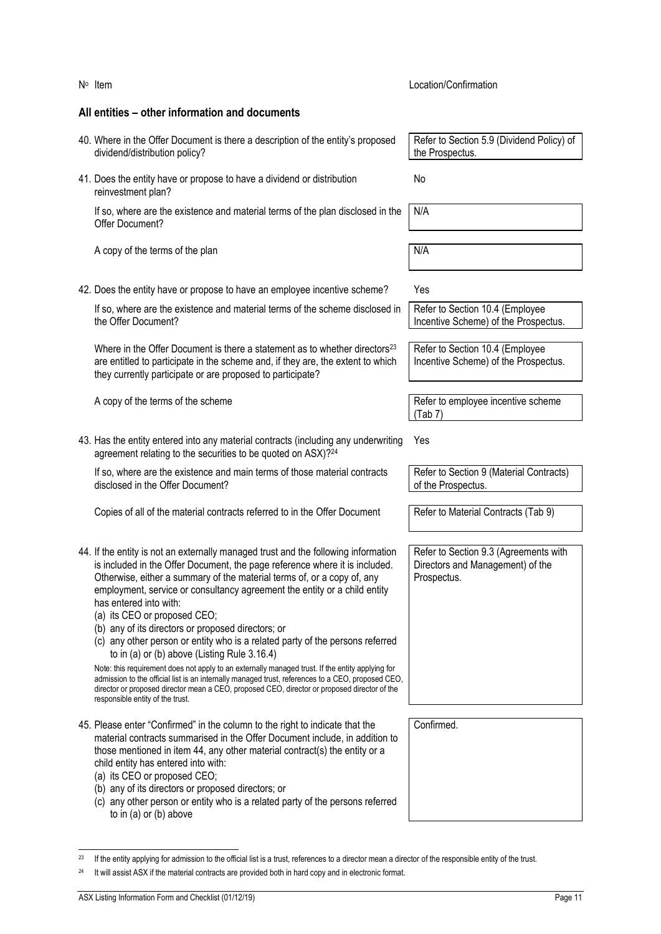| All entities – other information and documents                                                                                                                                                                                                                                                                                                                                                                                                                                                                                                                                                                                                                                 |                                                                                          |
|--------------------------------------------------------------------------------------------------------------------------------------------------------------------------------------------------------------------------------------------------------------------------------------------------------------------------------------------------------------------------------------------------------------------------------------------------------------------------------------------------------------------------------------------------------------------------------------------------------------------------------------------------------------------------------|------------------------------------------------------------------------------------------|
| 40. Where in the Offer Document is there a description of the entity's proposed<br>dividend/distribution policy?                                                                                                                                                                                                                                                                                                                                                                                                                                                                                                                                                               | Refer to Section 5.9 (Dividend Policy) of<br>the Prospectus.                             |
| 41. Does the entity have or propose to have a dividend or distribution<br>reinvestment plan?                                                                                                                                                                                                                                                                                                                                                                                                                                                                                                                                                                                   | No                                                                                       |
| If so, where are the existence and material terms of the plan disclosed in the<br>Offer Document?                                                                                                                                                                                                                                                                                                                                                                                                                                                                                                                                                                              | N/A                                                                                      |
| A copy of the terms of the plan                                                                                                                                                                                                                                                                                                                                                                                                                                                                                                                                                                                                                                                | N/A                                                                                      |
| 42. Does the entity have or propose to have an employee incentive scheme?                                                                                                                                                                                                                                                                                                                                                                                                                                                                                                                                                                                                      | Yes                                                                                      |
| If so, where are the existence and material terms of the scheme disclosed in<br>the Offer Document?                                                                                                                                                                                                                                                                                                                                                                                                                                                                                                                                                                            | Refer to Section 10.4 (Employee<br>Incentive Scheme) of the Prospectus.                  |
| Where in the Offer Document is there a statement as to whether directors <sup>23</sup><br>are entitled to participate in the scheme and, if they are, the extent to which<br>they currently participate or are proposed to participate?                                                                                                                                                                                                                                                                                                                                                                                                                                        | Refer to Section 10.4 (Employee<br>Incentive Scheme) of the Prospectus.                  |
| A copy of the terms of the scheme                                                                                                                                                                                                                                                                                                                                                                                                                                                                                                                                                                                                                                              | Refer to employee incentive scheme<br>(Tab 7)                                            |
| 43. Has the entity entered into any material contracts (including any underwriting<br>agreement relating to the securities to be quoted on ASX)?24                                                                                                                                                                                                                                                                                                                                                                                                                                                                                                                             | Yes                                                                                      |
| If so, where are the existence and main terms of those material contracts<br>disclosed in the Offer Document?                                                                                                                                                                                                                                                                                                                                                                                                                                                                                                                                                                  | Refer to Section 9 (Material Contracts)<br>of the Prospectus.                            |
| Copies of all of the material contracts referred to in the Offer Document                                                                                                                                                                                                                                                                                                                                                                                                                                                                                                                                                                                                      | Refer to Material Contracts (Tab 9)                                                      |
| 44. If the entity is not an externally managed trust and the following information<br>is included in the Offer Document, the page reference where it is included.<br>Otherwise, either a summary of the material terms of, or a copy of, any<br>employment, service or consultancy agreement the entity or a child entity<br>has entered into with:<br>(a) its CEO or proposed CEO;<br>(b) any of its directors or proposed directors; or<br>(c) any other person or entity who is a related party of the persons referred<br>to in (a) or (b) above (Listing Rule 3.16.4)<br>Note: this requirement does not apply to an externally managed trust. If the entity applying for | Refer to Section 9.3 (Agreements with<br>Directors and Management) of the<br>Prospectus. |
| admission to the official list is an internally managed trust, references to a CEO, proposed CEO,<br>director or proposed director mean a CEO, proposed CEO, director or proposed director of the<br>responsible entity of the trust.                                                                                                                                                                                                                                                                                                                                                                                                                                          |                                                                                          |
| 45. Please enter "Confirmed" in the column to the right to indicate that the<br>material contracts summarised in the Offer Document include, in addition to<br>those mentioned in item 44, any other material contract(s) the entity or a<br>child entity has entered into with:<br>(a) its CEO or proposed CEO;<br>(b) any of its directors or proposed directors; or<br>(c) any other person or entity who is a related party of the persons referred<br>to in (a) or (b) above                                                                                                                                                                                              | Confirmed.                                                                               |

Location/Confirmation

N° Item

<span id="page-11-0"></span><sup>&</sup>lt;sup>23</sup> If the entity applying for admission to the official list is a trust, references to a director mean a director of the responsible entity of the trust.

<sup>&</sup>lt;sup>24</sup> It will assist ASX if the material contracts are provided both in hard copy and in electronic format.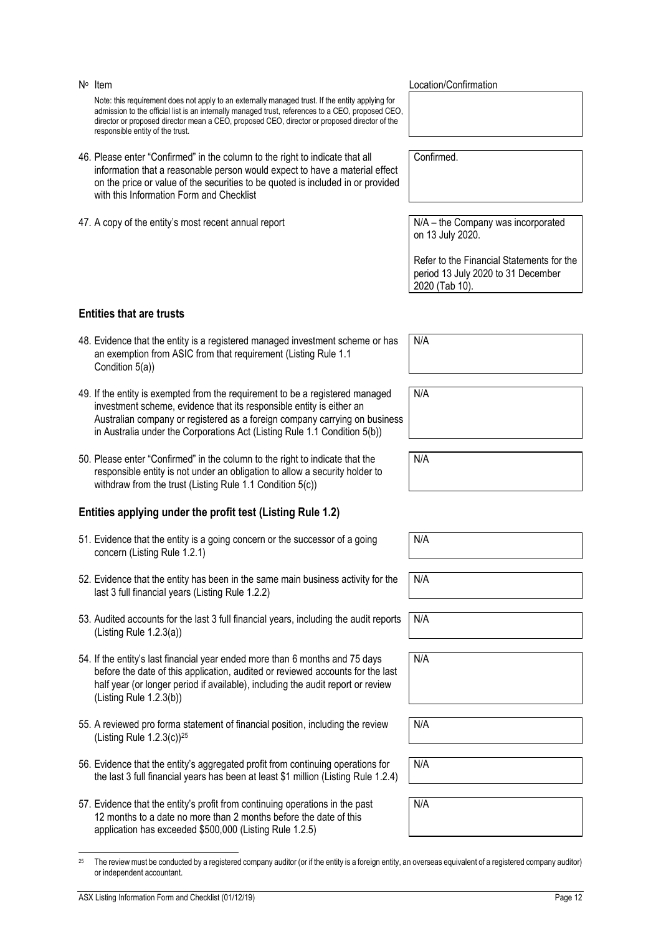or independent accountant.

Note: this requirement does not apply to an externally managed trust. If the entity applying for admission to the official list is an internally managed trust, references to a CEO, proposed CEO, director or proposed director mean a CEO, proposed CEO, director or proposed director of the responsible entity of the trust.

- 46. Please enter "Confirmed" in the column to the right to indicate that all information that a reasonable person would expect to have a material effect on the price or value of the securities to be quoted is included in or provided with this Information Form and Checklist
- 47. A copy of the entity's most recent annual report N/A the Company was incorporated

**Entities that are trusts**

N<sup>o</sup> Item

Confirmed.

Location/Confirmation

on 13 July 2020.

Refer to the Financial Statements for the period 13 July 2020 to 31 December 2020 (Tab 10).

48. Evidence that the entity is a registered managed investment scheme or has an exemption from ASIC from that requirement (Listing Rule 1.1 Condition 5(a))

- 49. If the entity is exempted from the requirement to be a registered managed investment scheme, evidence that its responsible entity is either an Australian company or registered as a foreign company carrying on business in Australia under the Corporations Act (Listing Rule 1.1 Condition 5(b))
- 50. Please enter "Confirmed" in the column to the right to indicate that the responsible entity is not under an obligation to allow a security holder to withdraw from the trust (Listing Rule 1.1 Condition 5(c))

### **Entities applying under the profit test (Listing Rule 1.2)**

- 51. Evidence that the entity is a going concern or the successor of a going concern (Listing Rule 1.2.1)
- 52. Evidence that the entity has been in the same main business activity for the last 3 full financial years (Listing Rule 1.2.2)
- 53. Audited accounts for the last 3 full financial years, including the audit reports (Listing Rule 1.2.3(a))
- 54. If the entity's last financial year ended more than 6 months and 75 days before the date of this application, audited or reviewed accounts for the last half year (or longer period if available), including the audit report or review (Listing Rule 1.2.3(b))
- 55. A reviewed pro forma statement of financial position, including the review (Listing Rule 1.2.3(c))<sup>25</sup>
- 56. Evidence that the entity's aggregated profit from continuing operations for the last 3 full financial years has been at least \$1 million (Listing Rule 1.2.4)
- 57. Evidence that the entity's profit from continuing operations in the past 12 months to a date no more than 2 months before the date of this application has exceeded \$500,000 (Listing Rule 1.2.5)

#### N/A

N/A

N/A

N/A

| N/A |  |  |
|-----|--|--|
| N/A |  |  |
| N/A |  |  |
|     |  |  |

N/A

N/A

N/A

<sup>25</sup> The review must be conducted by a registered company auditor (or if the entity is a foreign entity, an overseas equivalent of a registered company auditor)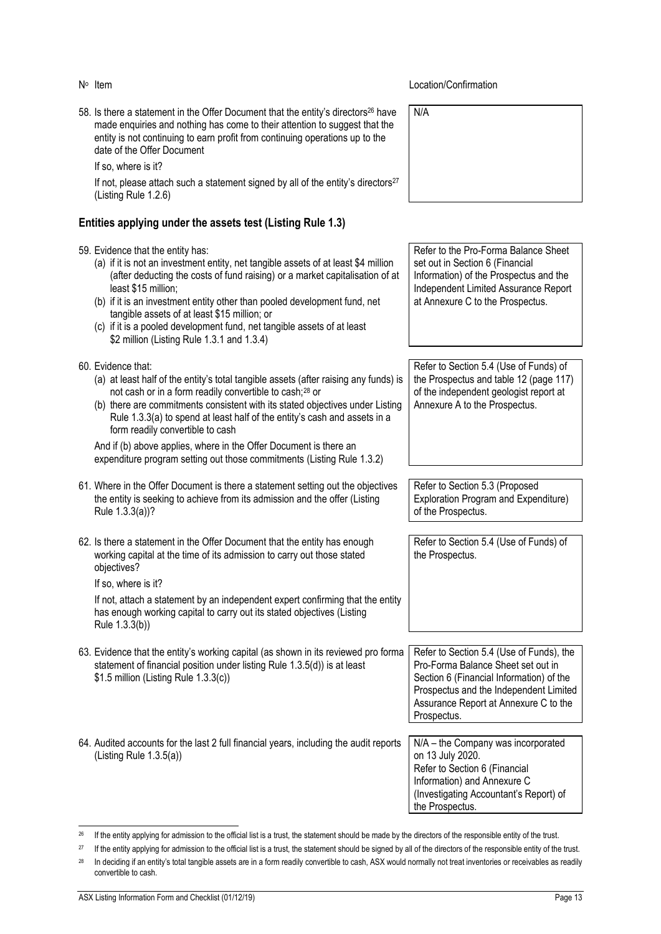58. Is there a statement in the Offer Document that the entity's directors<sup>26</sup> have made enquiries and nothing has come to their attention to suggest that the entity is not continuing to earn profit from continuing operations up to the date of the Offer Document

If so, where is it?

If not, please attach such a statement signed by all of the entity's directors $27$ (Listing Rule 1.2.6)

#### **Entities applying under the assets test (Listing Rule 1.3)**

#### 59. Evidence that the entity has:

- (a) if it is not an investment entity, net tangible assets of at least \$4 million (after deducting the costs of fund raising) or a market capitalisation of at least \$15 million;
- (b) if it is an investment entity other than pooled development fund, net tangible assets of at least \$15 million; or
- (c) if it is a pooled development fund, net tangible assets of at least \$2 million (Listing Rule 1.3.1 and 1.3.4)
- 60. Evidence that:
	- (a) at least half of the entity's total tangible assets (after raising any funds) is not cash or in a form readily convertible to cash;<sup>28</sup> or
	- (b) there are commitments consistent with its stated objectives under Listing Rule 1.3.3(a) to spend at least half of the entity's cash and assets in a form readily convertible to cash

And if (b) above applies, where in the Offer Document is there an expenditure program setting out those commitments (Listing Rule 1.3.2)

61. Where in the Offer Document is there a statement setting out the objectives the entity is seeking to achieve from its admission and the offer (Listing Rule 1.3.3(a))?

62. Is there a statement in the Offer Document that the entity has enough working capital at the time of its admission to carry out those stated objectives?

If so, where is it?

If not, attach a statement by an independent expert confirming that the entity has enough working capital to carry out its stated objectives (Listing Rule 1.3.3(b))

- 63. Evidence that the entity's working capital (as shown in its reviewed pro forma statement of financial position under listing Rule 1.3.5(d)) is at least \$1.5 million (Listing Rule 1.3.3(c))
- 64. Audited accounts for the last 2 full financial years, including the audit reports (Listing Rule 1.3.5(a))

**Location/Confirmation** 

N/A

Refer to the Pro-Forma Balance Sheet set out in Section 6 (Financial Information) of the Prospectus and the Independent Limited Assurance Report at Annexure C to the Prospectus.

Refer to Section 5.4 (Use of Funds) of the Prospectus and table 12 (page 117) of the independent geologist report at Annexure A to the Prospectus.

Refer to Section 5.3 (Proposed Exploration Program and Expenditure) of the Prospectus.

Refer to Section 5.4 (Use of Funds) of the Prospectus.

Refer to Section 5.4 (Use of Funds), the Pro-Forma Balance Sheet set out in Section 6 (Financial Information) of the Prospectus and the Independent Limited Assurance Report at Annexure C to the Prospectus.

N/A – the Company was incorporated on 13 July 2020. Refer to Section 6 (Financial Information) and Annexure C (Investigating Accountant's Report) of the Prospectus.

<sup>&</sup>lt;sup>26</sup> If the entity applying for admission to the official list is a trust, the statement should be made by the directors of the responsible entity of the trust.

<sup>&</sup>lt;sup>27</sup> If the entity applying for admission to the official list is a trust, the statement should be signed by all of the directors of the responsible entity of the trust.

<sup>&</sup>lt;sup>28</sup> In deciding if an entity's total tangible assets are in a form readily convertible to cash, ASX would normally not treat inventories or receivables as readily convertible to cash.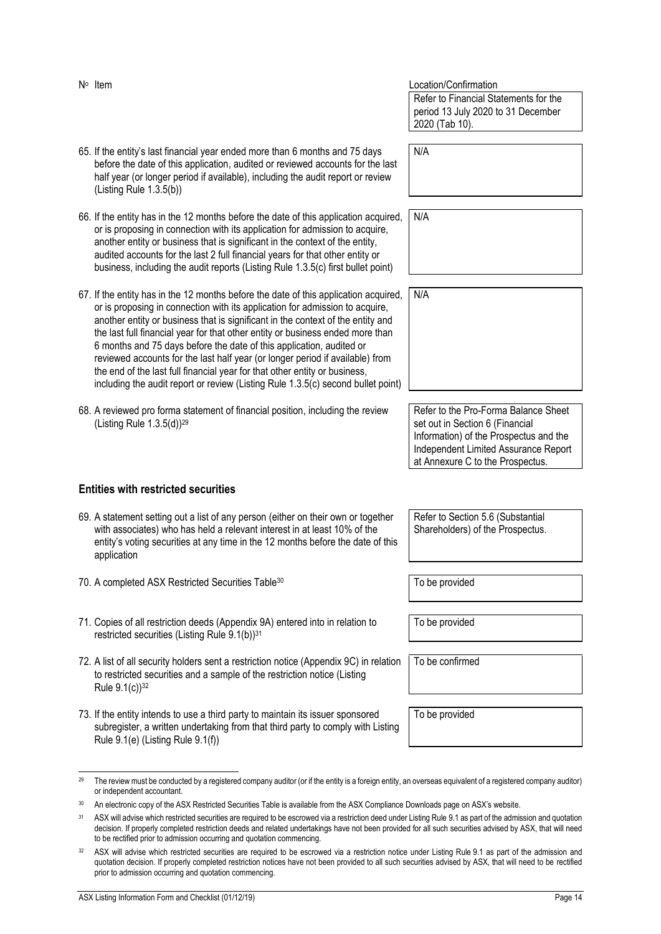- 65. If the entity's last financial year ended more than 6 months and 75 days before the date of this application, audited or reviewed accounts for the last half year (or longer period if available), including the audit report or review (Listing Rule 1.3.5(b)) 66. If the entity has in the 12 months before the date of this application acquired, or is proposing in connection with its application for admission to acquire, another entity or business that is significant in the context of the entity, audited accounts for the last 2 full financial years for that other entity or
- 67. If the entity has in the 12 months before the date of this application acquired, or is proposing in connection with its application for admission to acquire, another entity or business that is significant in the context of the entity and the last full financial year for that other entity or business ended more than 6 months and 75 days before the date of this application, audited or reviewed accounts for the last half year (or longer period if available) from the end of the last full financial year for that other entity or business, including the audit report or review (Listing Rule 1.3.5(c) second bullet point)

business, including the audit reports (Listing Rule 1.3.5(c) first bullet point)

68. A reviewed pro forma statement of financial position, including the review (Listing Rule 1.3.5(d))<sup>29</sup>

#### **Entities with restricted securities**

- 69. A statement setting out a list of any person (either on their own or together with associates) who has held a relevant interest in at least 10% of the entity's voting securities at any time in the 12 months before the date of this application
- 70. A completed ASX Restricted Securities Table<sup>30</sup> To be provided
- <span id="page-14-0"></span>71. Copies of all restriction deeds (Appendix 9A) entered into in relation to restricted securities (Listing Rule 9.1(b))<sup>31</sup>
- <span id="page-14-1"></span>72. A list of all security holders sent a restriction notice (Appendix 9C) in relation to restricted securities and a sample of the restriction notice (Listing Rule  $9.1(c)$ <sup>32</sup>
- 73. If the entity intends to use a third party to maintain its issuer sponsored subregister, a written undertaking from that third party to comply with Listing Rule 9.1(e) (Listing Rule 9.1(f))

Location/Confirmation Refer to Financial Statements for the period 13 July 2020 to 31 December 2020 (Tab 10).

N/A

N/A

N/A

Refer to the Pro-Forma Balance Sheet set out in Section 6 (Financial Information) of the Prospectus and the Independent Limited Assurance Report

Refer to Section 5.6 (Substantial Shareholders) of the Prospectus.

at Annexure C to the Prospectus.

To be provided

To be confirmed

To be provided

<sup>&</sup>lt;sup>29</sup> The review must be conducted by a registered company auditor (or if the entity is a foreign entity, an overseas equivalent of a registered company auditor) or independent accountant.

<sup>30</sup> An electronic copy of the ASX Restricted Securities Table is available from the ASX Compliance Downloads page on ASX's website.

<sup>&</sup>lt;sup>31</sup> ASX will advise which restricted securities are required to be escrowed via a restriction deed under Listing Rule 9.1 as part of the admission and quotation decision. If properly completed restriction deeds and related undertakings have not been provided for all such securities advised by ASX, that will need to be rectified prior to admission occurring and quotation commencing.

<sup>32</sup> ASX will advise which restricted securities are required to be escrowed via a restriction notice under Listing Rule 9.1 as part of the admission and quotation decision. If properly completed restriction notices have not been provided to all such securities advised by ASX, that will need to be rectified prior to admission occurring and quotation commencing.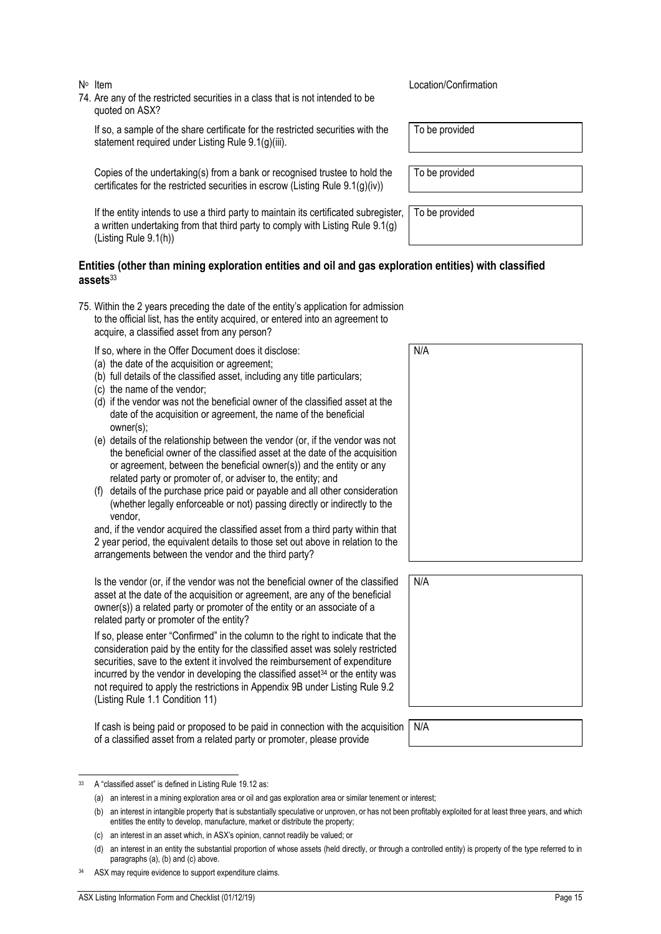74. Are any of the restricted securities in a class that is not intended to be quoted on ASX?

If so, a sample of the share certificate for the restricted securities with the statement required under Listing Rule 9.1(g)(iii).

Copies of the undertaking(s) from a bank or recognised trustee to hold the certificates for the restricted securities in escrow (Listing Rule 9.1(g)(iv))

If the entity intends to use a third party to maintain its certificated subregister, a written undertaking from that third party to comply with Listing Rule 9.1(g) (Listing Rule 9.1(h))

#### **Entities (other than mining exploration entities and oil and gas exploration entities) with classified assets**<sup>33</sup>

- 75. Within the 2 years preceding the date of the entity's application for admission to the official list, has the entity acquired, or entered into an agreement to acquire, a classified asset from any person?
	- If so, where in the Offer Document does it disclose:
	- (a) the date of the acquisition or agreement;
	- (b) full details of the classified asset, including any title particulars;
	- (c) the name of the vendor;
	- (d) if the vendor was not the beneficial owner of the classified asset at the date of the acquisition or agreement, the name of the beneficial owner(s);
	- (e) details of the relationship between the vendor (or, if the vendor was not the beneficial owner of the classified asset at the date of the acquisition or agreement, between the beneficial owner(s)) and the entity or any related party or promoter of, or adviser to, the entity; and
	- (f) details of the purchase price paid or payable and all other consideration (whether legally enforceable or not) passing directly or indirectly to the vendor,

and, if the vendor acquired the classified asset from a third party within that 2 year period, the equivalent details to those set out above in relation to the arrangements between the vendor and the third party?

Is the vendor (or, if the vendor was not the beneficial owner of the classified asset at the date of the acquisition or agreement, are any of the beneficial owner(s)) a related party or promoter of the entity or an associate of a related party or promoter of the entity?

If so, please enter "Confirmed" in the column to the right to indicate that the consideration paid by the entity for the classified asset was solely restricted securities, save to the extent it involved the reimbursement of expenditure incurred by the vendor in developing the classified asset $34$  or the entity was not required to apply the restrictions in Appendix 9B under Listing Rule 9.2 (Listing Rule 1.1 Condition 11)

If cash is being paid or proposed to be paid in connection with the acquisition of a classified asset from a related party or promoter, please provide

| Item | Location/Confirmation |
|------|-----------------------|
|      |                       |

To be provided

To be provided

To be provided

| N/A |  |  |  |
|-----|--|--|--|
|     |  |  |  |
|     |  |  |  |
|     |  |  |  |
|     |  |  |  |
|     |  |  |  |
|     |  |  |  |
|     |  |  |  |
|     |  |  |  |
|     |  |  |  |

N/A

(c) an interest in an asset which, in ASX's opinion, cannot readily be valued; or

<sup>33</sup> A "classified asset" is defined in Listing Rule 19.12 as:

<sup>(</sup>a) an interest in a mining exploration area or oil and gas exploration area or similar tenement or interest;

<sup>(</sup>b) an interest in intangible property that is substantially speculative or unproven, or has not been profitably exploited for at least three years, and which entitles the entity to develop, manufacture, market or distribute the property;

<sup>(</sup>d) an interest in an entity the substantial proportion of whose assets (held directly, or through a controlled entity) is property of the type referred to in paragraphs (a), (b) and (c) above.

ASX may require evidence to support expenditure claims.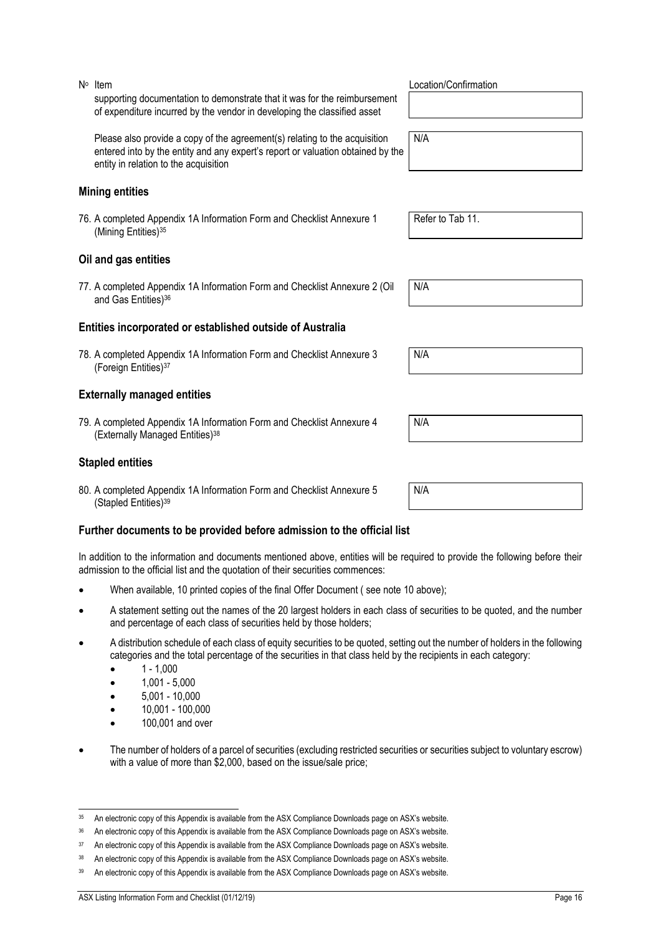supporting documentation to demonstrate that it was for the reimbursement of expenditure incurred by the vendor in developing the classified asset

Please also provide a copy of the agreement(s) relating to the acquisition entered into by the entity and any expert's report or valuation obtained by the entity in relation to the acquisition

#### **Mining entities**

N<sup>o</sup> Item

76. A completed Appendix 1A Information Form and Checklist Annexure 1 (Mining Entities)<sup>35</sup>

#### **Oil and gas entities**

77. A completed Appendix 1A Information Form and Checklist Annexure 2 (Oil and Gas Entities)<sup>36</sup>

#### **Entities incorporated or established outside of Australia**

78. A completed Appendix 1A Information Form and Checklist Annexure 3 (Foreign Entities)<sup>37</sup>

#### **Externally managed entities**

79. A completed Appendix 1A Information Form and Checklist Annexure 4 (Externally Managed Entities)<sup>38</sup>

#### **Stapled entities**

80. A completed Appendix 1A Information Form and Checklist Annexure 5 (Stapled Entities)<sup>39</sup>

#### **Further documents to be provided before admission to the official list**

In addition to the information and documents mentioned above, entities will be required to provide the following before their admission to the official list and the quotation of their securities commences:

- When available, 10 printed copies of the final Offer Document ( see note [10](#page-5-1) above);
- A statement setting out the names of the 20 largest holders in each class of securities to be quoted, and the number and percentage of each class of securities held by those holders;
- A distribution schedule of each class of equity securities to be quoted, setting out the number of holders in the following categories and the total percentage of the securities in that class held by the recipients in each category:
	- $1 1,000$
	- 1,001 5,000
	- 5,001 10,000
	- 10,001 100,000
	- 100,001 and over
- The number of holders of a parcel of securities (excluding restricted securities or securities subject to voluntary escrow) with a value of more than \$2,000, based on the issue/sale price;

Location/Confirmation

N/A

Refer to Tab 11.

N/A

N/A

N/A

<sup>35</sup> An electronic copy of this Appendix is available from the ASX Compliance Downloads page on ASX's website.

<sup>&</sup>lt;sup>36</sup> An electronic copy of this Appendix is available from the ASX Compliance Downloads page on ASX's website.

<sup>37</sup> An electronic copy of this Appendix is available from the ASX Compliance Downloads page on ASX's website.

<sup>38</sup> An electronic copy of this Appendix is available from the ASX Compliance Downloads page on ASX's website.

<sup>39</sup> An electronic copy of this Appendix is available from the ASX Compliance Downloads page on ASX's website.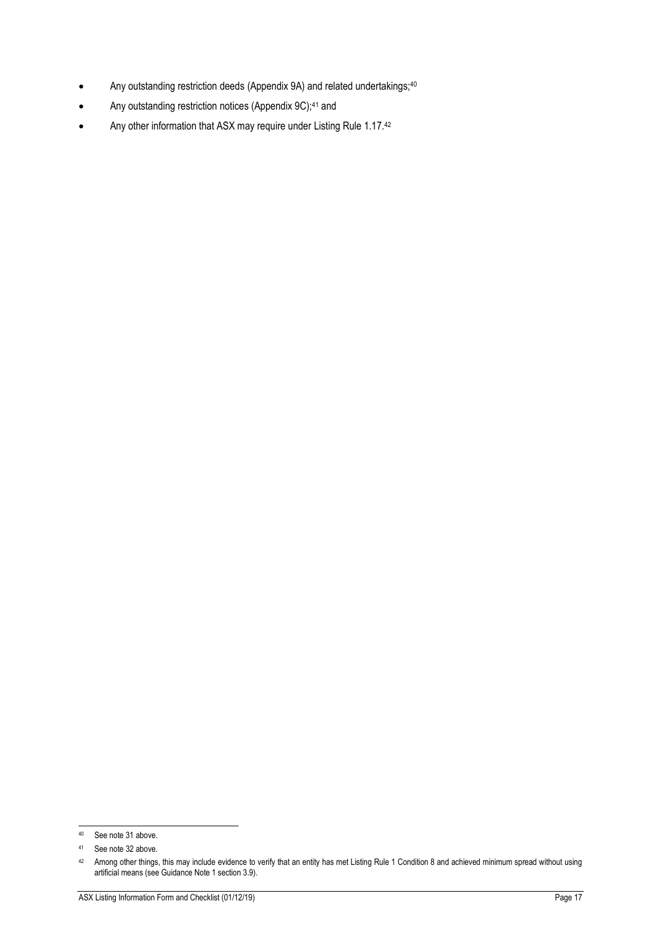- Any outstanding restriction deeds (Appendix 9A) and related undertakings;<sup>40</sup>
- Any outstanding restriction notices (Appendix 9C);<sup>41</sup> and
- Any other information that ASX may require under Listing Rule 1.17.42

<sup>40</sup> See note [31](#page-14-0) above.

<sup>41</sup> See note [32](#page-14-1) above.

<sup>42</sup> Among other things, this may include evidence to verify that an entity has met Listing Rule 1 Condition 8 and achieved minimum spread without using artificial means (see Guidance Note 1 section 3.9).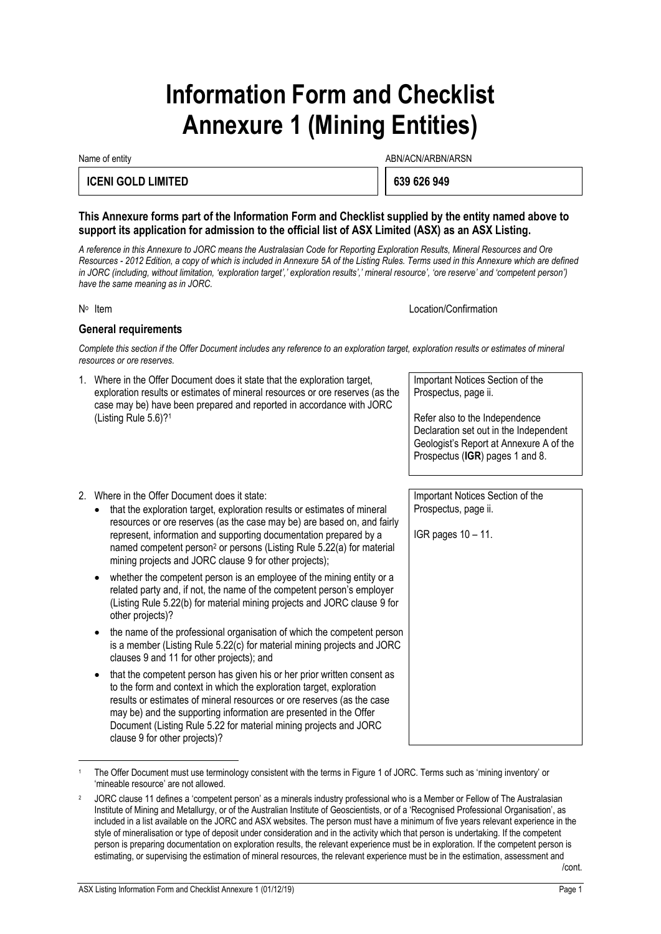# **Information Form and Checklist Annexure 1 (Mining Entities)**

Name of entity and the state of entity and the state of entity and the state of entity and the state of entity  $\Delta$ BN/ACN/ARBN/ARSN

#### **ICENI GOLD LIMITED 639 626 949**

#### **This Annexure forms part of the Information Form and Checklist supplied by the entity named above to support its application for admission to the official list of ASX Limited (ASX) as an ASX Listing.**

*A reference in this Annexure to JORC means the Australasian Code for Reporting Exploration Results, Mineral Resources and Ore Resources - 2012 Edition, a copy of which is included in Annexure 5A of the Listing Rules. Terms used in this Annexure which are defined*  in JORC (including, without limitation, 'exploration target',' exploration results',' mineral resource', 'ore reserve' and 'competent person') *have the same meaning as in JORC.*

#### N<sup>o</sup> Item

Location/Confirmation

#### **General requirements**

*Complete this section if the Offer Document includes any reference to an exploration target, exploration results or estimates of mineral resources or ore reserves.*

1. Where in the Offer Document does it state that the exploration target, exploration results or estimates of mineral resources or ore reserves (as the case may be) have been prepared and reported in accordance with JORC (Listing Rule 5.6)?<sup>1</sup>

Important Notices Section of the Prospectus, page ii.

Refer also to the Independence Declaration set out in the Independent Geologist's Report at Annexure A of the Prospectus (**IGR**) pages 1 and 8.

Important Notices Section of the Prospectus, page ii.

IGR pages 10 – 11.

- 2. Where in the Offer Document does it state:
	- that the exploration target, exploration results or estimates of mineral resources or ore reserves (as the case may be) are based on, and fairly represent, information and supporting documentation prepared by a named competent person<sup>2</sup> or persons (Listing Rule 5.22(a) for material mining projects and JORC clause 9 for other projects);
	- whether the competent person is an employee of the mining entity or a related party and, if not, the name of the competent person's employer (Listing Rule 5.22(b) for material mining projects and JORC clause 9 for other projects)?
	- the name of the professional organisation of which the competent person is a member (Listing Rule 5.22(c) for material mining projects and JORC clauses 9 and 11 for other projects); and
	- that the competent person has given his or her prior written consent as to the form and context in which the exploration target, exploration results or estimates of mineral resources or ore reserves (as the case may be) and the supporting information are presented in the Offer Document (Listing Rule 5.22 for material mining projects and JORC clause 9 for other projects)?

The Offer Document must use terminology consistent with the terms in Figure 1 of JORC. Terms such as 'mining inventory' or 'mineable resource' are not allowed.

<sup>2</sup> JORC clause 11 defines a 'competent person' as a minerals industry professional who is a Member or Fellow of The Australasian Institute of Mining and Metallurgy, or of the Australian Institute of Geoscientists, or of a 'Recognised Professional Organisation', as included in a list available on the JORC and ASX websites. The person must have a minimum of five years relevant experience in the style of mineralisation or type of deposit under consideration and in the activity which that person is undertaking. If the competent person is preparing documentation on exploration results, the relevant experience must be in exploration. If the competent person is estimating, or supervising the estimation of mineral resources, the relevant experience must be in the estimation, assessment and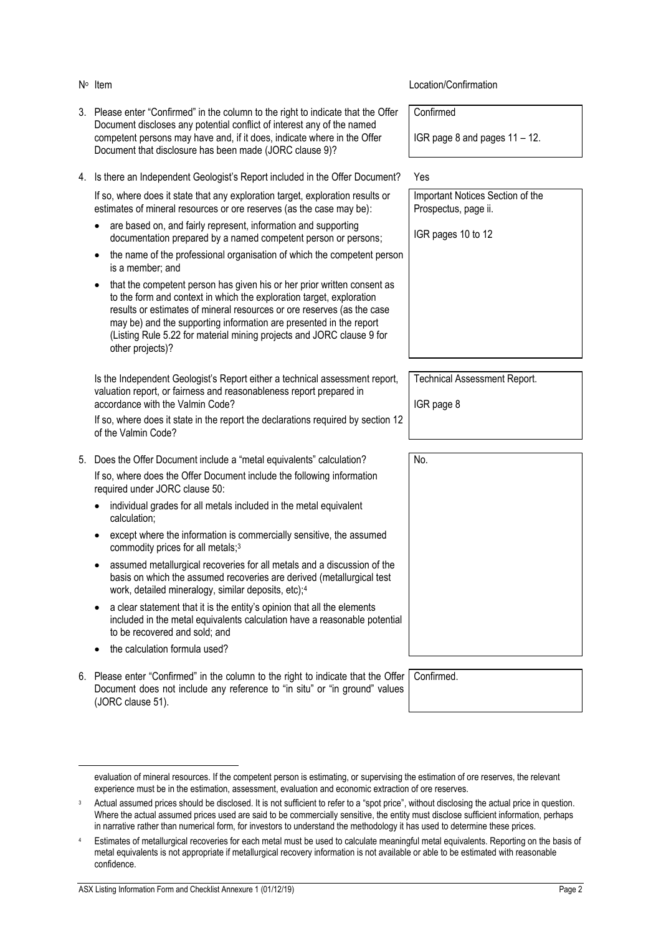- 3. Please enter "Confirmed" in the column to the right to indicate that the Offer Document discloses any potential conflict of interest any of the named competent persons may have and, if it does, indicate where in the Offer Document that disclosure has been made (JORC clause 9)?
- 4. Is there an Independent Geologist's Report included in the Offer Document? Yes

If so, where does it state that any exploration target, exploration results or estimates of mineral resources or ore reserves (as the case may be):

- are based on, and fairly represent, information and supporting documentation prepared by a named competent person or persons;
- the name of the professional organisation of which the competent person is a member; and
- that the competent person has given his or her prior written consent as to the form and context in which the exploration target, exploration results or estimates of mineral resources or ore reserves (as the case may be) and the supporting information are presented in the report (Listing Rule 5.22 for material mining projects and JORC clause 9 for other projects)?

Is the Independent Geologist's Report either a technical assessment report, valuation report, or fairness and reasonableness report prepared in accordance with the Valmin Code?

If so, where does it state in the report the declarations required by section 12 of the Valmin Code?

- 5. Does the Offer Document include a "metal equivalents" calculation? If so, where does the Offer Document include the following information required under JORC clause 50:
	- individual grades for all metals included in the metal equivalent calculation;
	- except where the information is commercially sensitive, the assumed commodity prices for all metals;<sup>3</sup>
	- assumed metallurgical recoveries for all metals and a discussion of the basis on which the assumed recoveries are derived (metallurgical test work, detailed mineralogy, similar deposits, etc);<sup>4</sup>
	- a clear statement that it is the entity's opinion that all the elements included in the metal equivalents calculation have a reasonable potential to be recovered and sold; and
	- the calculation formula used?
- 6. Please enter "Confirmed" in the column to the right to indicate that the Offer Document does not include any reference to "in situ" or "in ground" values (JORC clause 51).

#### **Location/Confirmation**

Confirmed

IGR page 8 and pages 11 – 12.

Important Notices Section of the Prospectus, page ii.

IGR pages 10 to 12

Technical Assessment Report.

IGR page 8

No.

Confirmed.

| evaluation of mineral resources. If the competent person is estimating, or supervising the estimation of ore reserves, the relevant |  |
|-------------------------------------------------------------------------------------------------------------------------------------|--|
| experience must be in the estimation, assessment, evaluation and economic extraction of ore reserves.                               |  |

Actual assumed prices should be disclosed. It is not sufficient to refer to a "spot price", without disclosing the actual price in question. Where the actual assumed prices used are said to be commercially sensitive, the entity must disclose sufficient information, perhaps in narrative rather than numerical form, for investors to understand the methodology it has used to determine these prices.

<sup>4</sup> Estimates of metallurgical recoveries for each metal must be used to calculate meaningful metal equivalents. Reporting on the basis of metal equivalents is not appropriate if metallurgical recovery information is not available or able to be estimated with reasonable confidence.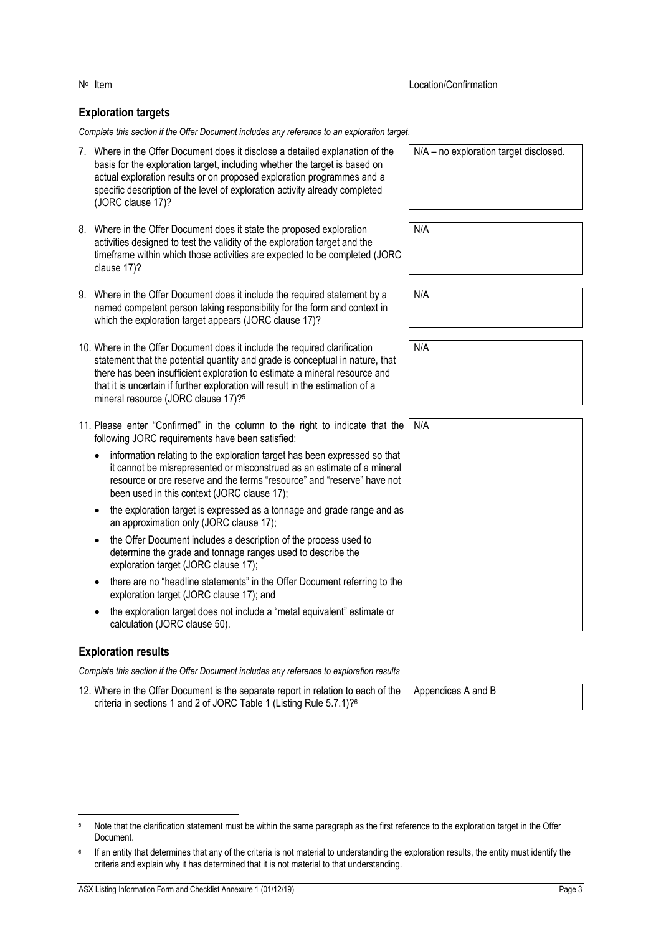#### **Exploration targets**

*Complete this section if the Offer Document includes any reference to an exploration target.*

- 7. Where in the Offer Document does it disclose a detailed explanation of the basis for the exploration target, including whether the target is based on actual exploration results or on proposed exploration programmes and a specific description of the level of exploration activity already completed (JORC clause 17)?
- 8. Where in the Offer Document does it state the proposed exploration activities designed to test the validity of the exploration target and the timeframe within which those activities are expected to be completed (JORC clause 17)?
- 9. Where in the Offer Document does it include the required statement by a named competent person taking responsibility for the form and context in which the exploration target appears (JORC clause 17)?
- 10. Where in the Offer Document does it include the required clarification statement that the potential quantity and grade is conceptual in nature, that there has been insufficient exploration to estimate a mineral resource and that it is uncertain if further exploration will result in the estimation of a mineral resource (JORC clause 17)?<sup>5</sup>
- 11. Please enter "Confirmed" in the column to the right to indicate that the following JORC requirements have been satisfied:
	- information relating to the exploration target has been expressed so that it cannot be misrepresented or misconstrued as an estimate of a mineral resource or ore reserve and the terms "resource" and "reserve" have not been used in this context (JORC clause 17);
	- the exploration target is expressed as a tonnage and grade range and as an approximation only (JORC clause 17);
	- the Offer Document includes a description of the process used to determine the grade and tonnage ranges used to describe the exploration target (JORC clause 17);
	- there are no "headline statements" in the Offer Document referring to the exploration target (JORC clause 17); and
	- the exploration target does not include a "metal equivalent" estimate or calculation (JORC clause 50).

#### **Exploration results**

*Complete this section if the Offer Document includes any reference to exploration results*

12. Where in the Offer Document is the separate report in relation to each of the criteria in sections 1 and 2 of JORC Table 1 (Listing Rule 5.7.1)?<sup>6</sup>

| Note that the clarification statement must be within the same paragraph as the first reference to the exploration target in the Offer |
|---------------------------------------------------------------------------------------------------------------------------------------|
| Document.                                                                                                                             |

Location/Confirmation

N/A – no exploration target disclosed.

N/A N/A N/A N/A

Appendices A and B

<sup>6</sup> If an entity that determines that any of the criteria is not material to understanding the exploration results, the entity must identify the criteria and explain why it has determined that it is not material to that understanding.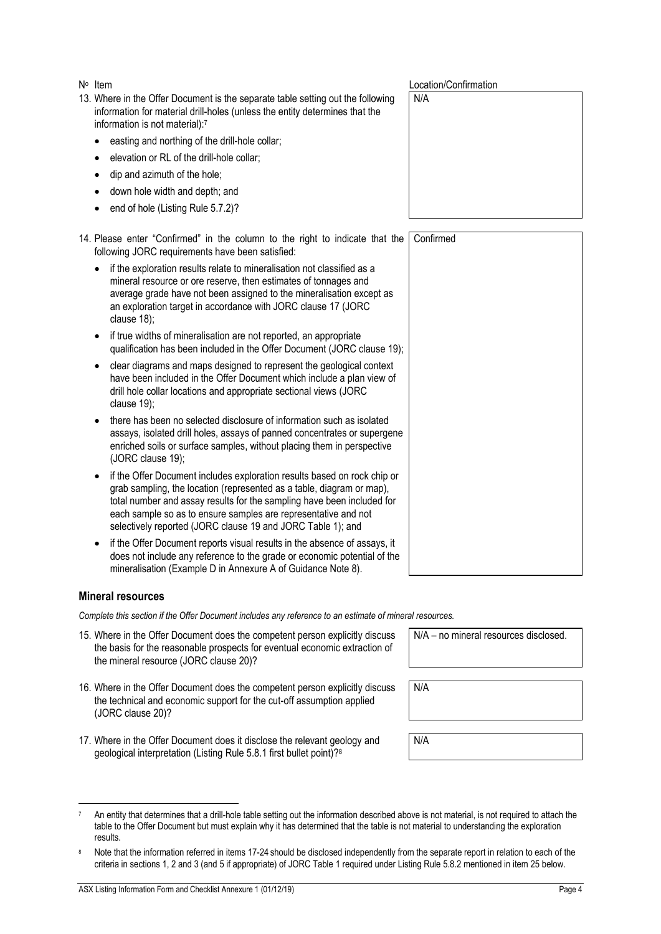ASX Listing Information Form and Checklist Annexure 1 (01/12/19) **Page 4 Page 4** 

N<sup>o</sup> Item

- 13. Where in the Offer Document is the separate table setting out the following information for material drill-holes (unless the entity determines that the information is not material):<sup>7</sup>
	- easting and northing of the drill-hole collar;
	- elevation or RL of the drill-hole collar;
	- dip and azimuth of the hole;
	- down hole width and depth; and
	- end of hole (Listing Rule 5.7.2)?

14. Please enter "Confirmed" in the column to the right to indicate that the following JORC requirements have been satisfied:

| • if the exploration results relate to mineralisation not classified as a |
|---------------------------------------------------------------------------|
| mineral resource or ore reserve, then estimates of tonnages and           |
| average grade have not been assigned to the mineralisation except as      |
| an exploration target in accordance with JORC clause 17 (JORC             |
| clause $18$ ;                                                             |

- if true widths of mineralisation are not reported, an appropriate qualification has been included in the Offer Document (JORC clause 19);
- clear diagrams and maps designed to represent the geological context have been included in the Offer Document which include a plan view of drill hole collar locations and appropriate sectional views (JORC clause 19);
- there has been no selected disclosure of information such as isolated assays, isolated drill holes, assays of panned concentrates or supergene enriched soils or surface samples, without placing them in perspective (JORC clause 19);
- if the Offer Document includes exploration results based on rock chip or grab sampling, the location (represented as a table, diagram or map), total number and assay results for the sampling have been included for each sample so as to ensure samples are representative and not selectively reported (JORC clause 19 and JORC Table 1); and
- if the Offer Document reports visual results in the absence of assays, it does not include any reference to the grade or economic potential of the mineralisation (Example D in Annexure A of Guidance Note 8).

#### **Mineral resources**

*Complete this section if the Offer Document includes any reference to an estimate of mineral resources.*

- 15. Where in the Offer Document does the competent person explicitly discuss the basis for the reasonable prospects for eventual economic extraction of the mineral resource (JORC clause 20)?
- 16. Where in the Offer Document does the competent person explicitly discuss the technical and economic support for the cut-off assumption applied (JORC clause 20)?
- <span id="page-21-0"></span>17. Where in the Offer Document does it disclose the release the relevant and relationship. geological interpretation (Listing Rule 5.8.

| lose the relevant geology and<br>1 first bullet point)? <sup>8</sup> | N/A |
|----------------------------------------------------------------------|-----|
|                                                                      |     |

N/A

| An entity that determines that a drill-hole table setting out the information described above is not material, is not required to attach the |
|----------------------------------------------------------------------------------------------------------------------------------------------|
| table to the Offer Document but must explain why it has determined that the table is not material to understanding the exploration           |
| results.                                                                                                                                     |

Note that the information referred in items [17-](#page-21-0)[24](#page-22-0) should be disclosed independently from the separate report in relation to each of the criteria in sections 1, 2 and 3 (and 5 if appropriate) of JORC Table 1 required under Listing Rule 5.8.2 mentioned in item [25](#page-22-1) below.

Location/Confirmation

N/A

| Confirmed |  |  |
|-----------|--|--|
|           |  |  |
|           |  |  |
|           |  |  |
|           |  |  |
|           |  |  |
|           |  |  |
|           |  |  |
|           |  |  |
|           |  |  |
|           |  |  |
|           |  |  |
|           |  |  |
|           |  |  |
|           |  |  |
|           |  |  |
|           |  |  |
|           |  |  |
|           |  |  |
|           |  |  |
|           |  |  |
|           |  |  |
|           |  |  |
|           |  |  |
|           |  |  |
|           |  |  |
|           |  |  |
|           |  |  |
|           |  |  |
|           |  |  |
|           |  |  |
|           |  |  |
|           |  |  |
|           |  |  |
|           |  |  |
|           |  |  |

N/A – no mineral resources disclosed.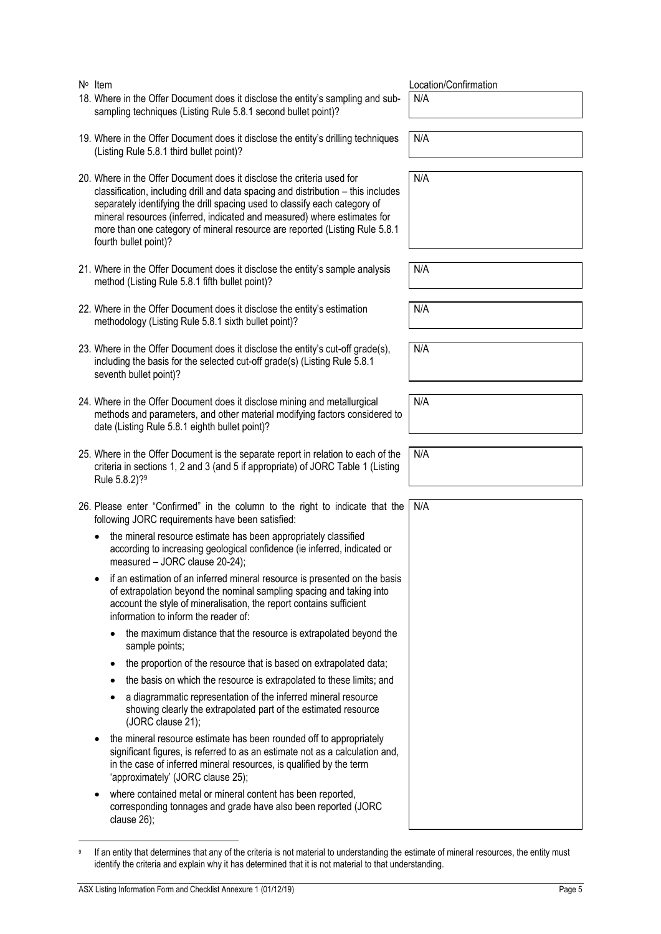| ASX Listing Information Form and Checklist Annexure 1 (01/12/19)                                                                                                                                                                                                | Page 5 |
|-----------------------------------------------------------------------------------------------------------------------------------------------------------------------------------------------------------------------------------------------------------------|--------|
| If an entity that determines that any of the criteria is not material to understanding the estimate of mineral resources, the entity must<br>identify the criteria and explain why it has determined that it is not material to that understanding.             |        |
| where contained metal or mineral content has been reported,<br>corresponding tonnages and grade have also been reported (JORC<br>clause $26$ ;                                                                                                                  |        |
| the mineral resource estimate has been rounded off to appropriately<br>significant figures, is referred to as an estimate not as a calculation and,<br>in the case of inferred mineral resources, is qualified by the term<br>'approximately' (JORC clause 25); |        |
| a diagrammatic representation of the inferred mineral resource<br>$\bullet$<br>showing clearly the extrapolated part of the estimated resource<br>(JORC clause 21);                                                                                             |        |
| the basis on which the resource is extrapolated to these limits; and<br>$\bullet$                                                                                                                                                                               |        |
|                                                                                                                                                                                                                                                                 |        |

| <sup>9</sup> If an entity that determines that any of the criteria is not material to understanding the estimate of mineral resources, the entity must |
|--------------------------------------------------------------------------------------------------------------------------------------------------------|
| identify the criteria and explain why it has determined that it is not material to that understanding.                                                 |

- N<sup>o</sup> Item
- 18. Where in the Offer Document does it disclose the entity's sampling and subsampling techniques (Listing Rule 5.8.1 second bullet point)?
- 19. Where in the Offer Document does it disclose the entity's drilling techniques (Listing Rule 5.8.1 third bullet point)?
- 20. Where in the Offer Document does it disclose the criteria used for classification, including drill and data spacing and distribution – this includes separately identifying the drill spacing used to classify each category of mineral resources (inferred, indicated and measured) where estimates for more than one category of mineral resource are reported (Listing Rule 5.8.1 fourth bullet point)?
- 21. Where in the Offer Document does it disclose the entity's sample analysis method (Listing Rule 5.8.1 fifth bullet point)?
- 22. Where in the Offer Document does it disclose the entity's estimation methodology (Listing Rule 5.8.1 sixth bullet point)?
- 23. Where in the Offer Document does it disclose the entity's cut-off grade(s), including the basis for the selected cut-off grade(s) (Listing Rule 5.8.1 seventh bullet point)?
- <span id="page-22-0"></span>24. Where in the Offer Document does it disclose mining and metallurgical methods and parameters, and other material modifying factors considered to date (Listing Rule 5.8.1 eighth bullet point)?
- <span id="page-22-1"></span>25. Where in the Offer Document is the separate report in relation to each of the criteria in sections 1, 2 and 3 (and 5 if appropriate) of JORC Table 1 (Listing Rule 5.8.2)?<sup>9</sup>

26. Please enter "Confirmed" in the column to the right to indicate that the following JORC requirements have been satisfied: N/A

- the mineral resource estimate has been appropriately classified according to increasing geological confidence (ie inferred, indicated or measured – JORC clause 20-24);
- if an estimation of an inferred mineral resource is presented on the basis of extrapolation beyond the nominal sampling spacing and taking into account the style of mineralisation, the report contains sufficient information to inform the reader of:
	- the maximum distance that the resource is extrapolated beyond the sample points;
	- the proportion of the resource that is based on extrapolated data;

Location/Confirmation

N/A

N/A

N/A

N/A

N/A

N/A

N/A

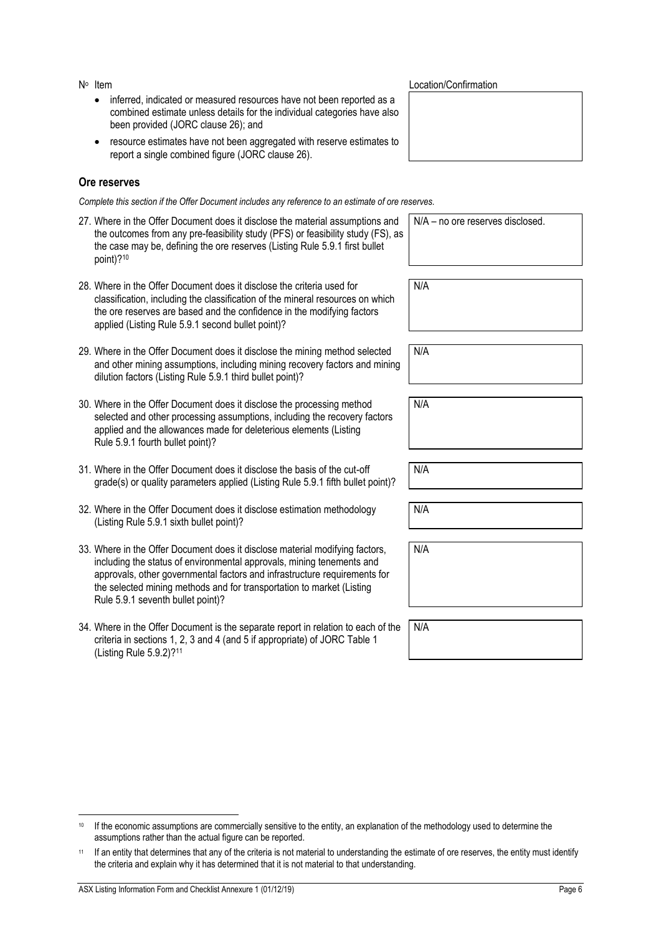N° Item

- inferred, indicated or measured resources have not been reported as a combined estimate unless details for the individual categories have also been provided (JORC clause 26); and
- resource estimates have not been aggregated with reserve estimates to report a single combined figure (JORC clause 26).

#### **Ore reserves**

*Complete this section if the Offer Document includes any reference to an estimate of ore reserves.*

| 27. Where in the Offer Document does it disclose the material assumptions and<br>the outcomes from any pre-feasibility study (PFS) or feasibility study (FS), as<br>the case may be, defining the ore reserves (Listing Rule 5.9.1 first bullet<br>point)?10                            | N/A - no ore reserves disclosed. |
|-----------------------------------------------------------------------------------------------------------------------------------------------------------------------------------------------------------------------------------------------------------------------------------------|----------------------------------|
| 28. Where in the Offer Document does it disclose the criteria used for<br>classification, including the classification of the mineral resources on which<br>the ore reserves are based and the confidence in the modifying factors<br>applied (Listing Rule 5.9.1 second bullet point)? | N/A                              |
| 29. Where in the Offer Document does it disclose the mining method selected<br>and other mining assumptions, including mining recovery factors and mining<br>dilution factors (Listing Rule 5.9.1 third bullet point)?                                                                  | N/A                              |
| 30. Where in the Offer Document does it disclose the processing method<br>selected and other processing assumptions, including the recovery factors<br>applied and the allowances made for deleterious elements (Listing<br>Rule 5.9.1 fourth bullet point)?                            | N/A                              |

- 31. Where in the Offer Document does it disclose the basis of the cut-off grade(s) or quality parameters applied (Listing Rule 5.9.1 fifth bullet point)?
- 32. Where in the Offer Document does it disclose estimation methodology (Listing Rule 5.9.1 sixth bullet point)?
- 33. Where in the Offer Document does it disclose material modifying factors, including the status of environmental approvals, mining tenements and approvals, other governmental factors and infrastructure requirements for the selected mining methods and for transportation to market (Listing Rule 5.9.1 seventh bullet point)?
- 34. Where in the Offer Document is the separate report in relation to each of the criteria in sections 1, 2, 3 and 4 (and 5 if appropriate) of JORC Table 1 (Listing Rule 5.9.2)?<sup>11</sup>

Location/Confirmation

N/A

N/A

N/A N/A

<sup>&</sup>lt;sup>10</sup> If the economic assumptions are commercially sensitive to the entity, an explanation of the methodology used to determine the assumptions rather than the actual figure can be reported.

<sup>11</sup> If an entity that determines that any of the criteria is not material to understanding the estimate of ore reserves, the entity must identify the criteria and explain why it has determined that it is not material to that understanding.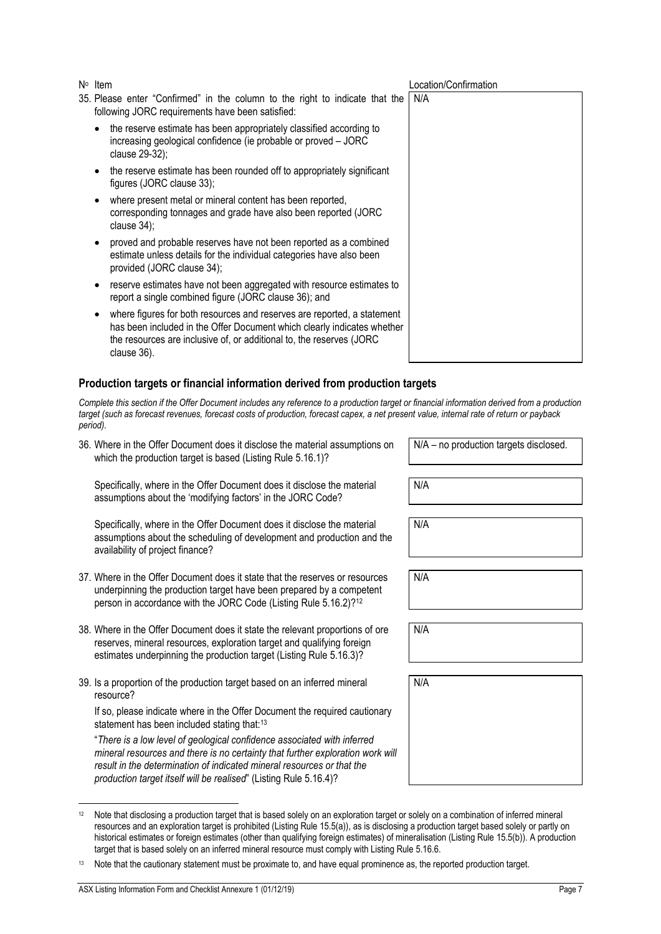- 35. Please enter "Confirmed" in the column to the right to indicate that the following JORC requirements have been satisfied:
	- the reserve estimate has been appropriately classified according to increasing geological confidence (ie probable or proved – JORC clause 29-32);
	- the reserve estimate has been rounded off to appropriately significant figures (JORC clause 33);
	- where present metal or mineral content has been reported, corresponding tonnages and grade have also been reported (JORC clause 34);
	- proved and probable reserves have not been reported as a combined estimate unless details for the individual categories have also been provided (JORC clause 34);
	- reserve estimates have not been aggregated with resource estimates to report a single combined figure (JORC clause 36); and
	- where figures for both resources and reserves are reported, a statement has been included in the Offer Document which clearly indicates whether the resources are inclusive of, or additional to, the reserves (JORC clause 36).

#### **Production targets or financial information derived from production targets**

*Complete this section if the Offer Document includes any reference to a production target or financial information derived from a production target (such as forecast revenues, forecast costs of production, forecast capex, a net present value, internal rate of return or payback period).*

36. Where in the Offer Document does it disclose the material assumptions on which the production target is based (Listing Rule 5.16.1)?

Specifically, where in the Offer Document does it disclose the material assumptions about the 'modifying factors' in the JORC Code?

Specifically, where in the Offer Document does it disclose the material assumptions about the scheduling of development and production and the availability of project finance?

- 37. Where in the Offer Document does it state that the reserves or resources underpinning the production target have been prepared by a competent person in accordance with the JORC Code (Listing Rule 5.16.2)?<sup>12</sup>
- 38. Where in the Offer Document does it state the relevant proportions of ore reserves, mineral resources, exploration target and qualifying foreign estimates underpinning the production target (Listing Rule 5.16.3)?
- 39. Is a proportion of the production target based on an inferred mineral resource?

If so, please indicate where in the Offer Document the required cautionary statement has been included stating that:<sup>13</sup>

"*There is a low level of geological confidence associated with inferred mineral resources and there is no certainty that further exploration work will result in the determination of indicated mineral resources or that the production target itself will be realised*" (Listing Rule 5.16.4)?

| Item | Location/Confirmation |
|------|-----------------------|
|------|-----------------------|

| e<br>$\mathbf l$ | N/A |  |
|------------------|-----|--|
|                  |     |  |
|                  |     |  |
|                  |     |  |
|                  |     |  |
|                  |     |  |
|                  |     |  |
|                  |     |  |
|                  |     |  |
|                  |     |  |
| t                |     |  |
| er               |     |  |
|                  |     |  |

N/A – no production targets disclosed.

N/A

N/A

N/A

N/A

N/A

<sup>12</sup> Note that disclosing a production target that is based solely on an exploration target or solely on a combination of inferred mineral resources and an exploration target is prohibited (Listing Rule 15.5(a)), as is disclosing a production target based solely or partly on historical estimates or foreign estimates (other than qualifying foreign estimates) of mineralisation (Listing Rule 15.5(b)). A production target that is based solely on an inferred mineral resource must comply with Listing Rule 5.16.6.

<sup>13</sup> Note that the cautionary statement must be proximate to, and have equal prominence as, the reported production target.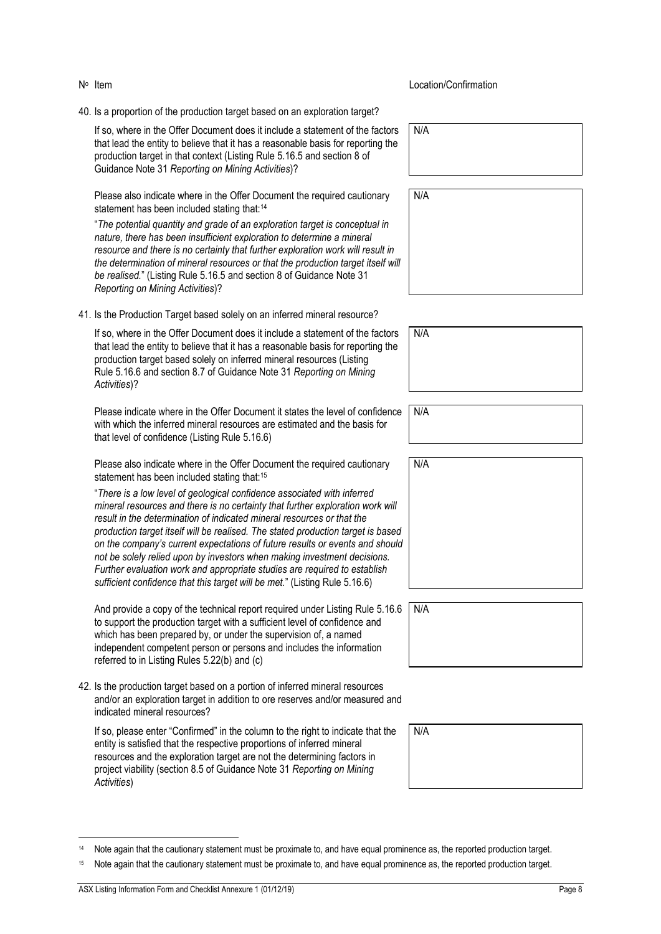- N<sup>o</sup> Item
- 40. Is a proportion of the production target based on an exploration target?

If so, where in the Offer Document does it include a statement of the factors that lead the entity to believe that it has a reasonable basis for reporting the production target in that context (Listing Rule 5.16.5 and section 8 of Guidance Note 31 *Reporting on Mining Activities*)?

Please also indicate where in the Offer Document the required cautionary statement has been included stating that:<sup>14</sup>

"*The potential quantity and grade of an exploration target is conceptual in nature, there has been insufficient exploration to determine a mineral resource and there is no certainty that further exploration work will result in the determination of mineral resources or that the production target itself will be realised.*" (Listing Rule 5.16.5 and section 8 of Guidance Note 31 *Reporting on Mining Activities*)?

41. Is the Production Target based solely on an inferred mineral resource?

If so, where in the Offer Document does it include a statement of the factors that lead the entity to believe that it has a reasonable basis for reporting the production target based solely on inferred mineral resources (Listing Rule 5.16.6 and section 8.7 of Guidance Note 31 *Reporting on Mining Activities*)?

Please indicate where in the Offer Document it states the level of confidence with which the inferred mineral resources are estimated and the basis for that level of confidence (Listing Rule 5.16.6)

Please also indicate where in the Offer Document the required cautionary statement has been included stating that:<sup>15</sup>

"*There is a low level of geological confidence associated with inferred mineral resources and there is no certainty that further exploration work will result in the determination of indicated mineral resources or that the production target itself will be realised. The stated production target is based on the company's current expectations of future results or events and should not be solely relied upon by investors when making investment decisions. Further evaluation work and appropriate studies are required to establish sufficient confidence that this target will be met.*" (Listing Rule 5.16.6)

And provide a copy of the technical report required under Listing Rule 5.16.6 to support the production target with a sufficient level of confidence and which has been prepared by, or under the supervision of, a named independent competent person or persons and includes the information referred to in Listing Rules 5.22(b) and (c)

42. Is the production target based on a portion of inferred mineral resources and/or an exploration target in addition to ore reserves and/or measured and indicated mineral resources?

If so, please enter "Confirmed" in the column to the right to indicate that the entity is satisfied that the respective proportions of inferred mineral resources and the exploration target are not the determining factors in project viability (section 8.5 of Guidance Note 31 *Reporting on Mining Activities*)

| Item | Location/Confirmation |
|------|-----------------------|
|------|-----------------------|

N/A

N/A

| N/A |  |  |  |
|-----|--|--|--|
|     |  |  |  |
|     |  |  |  |
|     |  |  |  |

N/A

| ,<br>J       |     |
|--------------|-----|
| $\mathbf{S}$ | N/A |

| N/A |  |  |  |
|-----|--|--|--|
|     |  |  |  |
|     |  |  |  |

<sup>14</sup> Note again that the cautionary statement must be proximate to, and have equal prominence as, the reported production target.

<sup>15</sup> Note again that the cautionary statement must be proximate to, and have equal prominence as, the reported production target.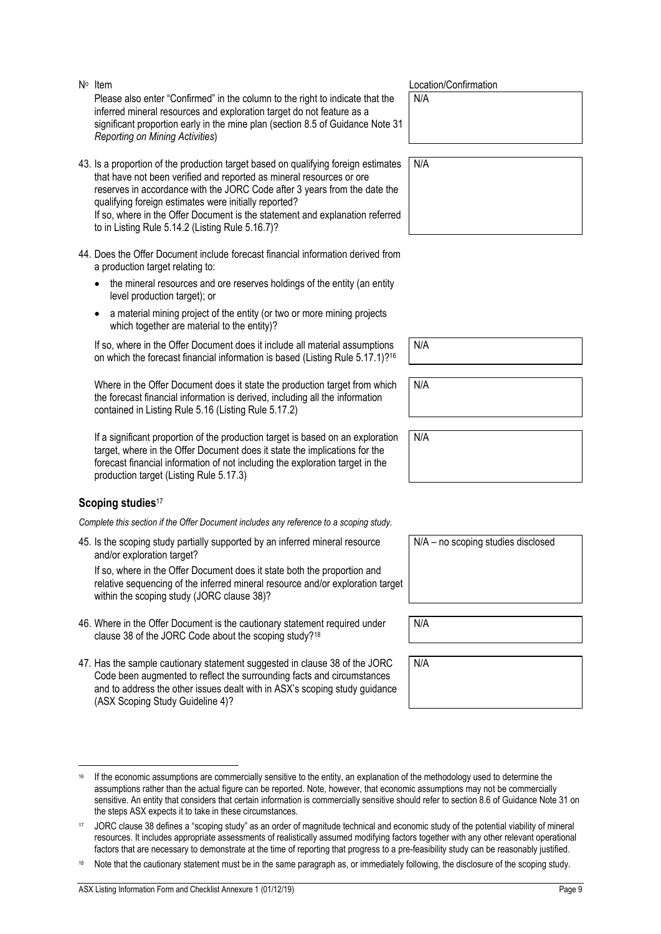the steps ASX expects it to take in these circumstances.

N<sup>o</sup> Item Please also enter "Confirmed" in the column to the right to indicate that the inferred mineral resources and exploration target do not feature as a significant proportion early in the mine plan (section 8.5 of Guidance Note 31 *Reporting on Mining Activities*)

- 43. Is a proportion of the production target based on qualifying foreign estimates that have not been verified and reported as mineral resources or ore reserves in accordance with the JORC Code after 3 years from the date the qualifying foreign estimates were initially reported? If so, where in the Offer Document is the statement and explanation referred to in Listing Rule 5.14.2 (Listing Rule 5.16.7)?
- 44. Does the Offer Document include forecast financial information derived from a production target relating to:
	- the mineral resources and ore reserves holdings of the entity (an entity level production target); or
	- a material mining project of the entity (or two or more mining projects which together are material to the entity)?

If so, where in the Offer Document does it include all material assumptions on which the forecast financial information is based (Listing Rule 5.17.1)?<sup>16</sup>

Where in the Offer Document does it state the production target from which the forecast financial information is derived, including all the information contained in Listing Rule 5.16 (Listing Rule 5.17.2)

If a significant proportion of the production target is based on an exploration target, where in the Offer Document does it state the implications for the forecast financial information of not including the exploration target in the production target (Listing Rule 5.17.3)

### **Scoping studies**<sup>17</sup>

*Complete this section if the Offer Document includes any reference to a scoping study.*

45. Is the scoping study partially supported by an inferred mineral resource and/or exploration target?

If so, where in the Offer Document does it state both the proportion and relative sequencing of the inferred mineral resource and/or exploration target within the scoping study (JORC clause 38)?

- 46. Where in the Offer Document is the cautionary statement required under clause 38 of the JORC Code about the scoping study?<sup>18</sup>
- 47. Has the sample cautionary statement suggested in clause 38 of the JORC Code been augmented to reflect the surrounding facts and circumstances and to address the other issues dealt with in ASX's scoping study guidance (ASX Scoping Study Guideline 4)?

<sup>16</sup> If the economic assumptions are commercially sensitive to the entity, an explanation of the methodology used to determine the assumptions rather than the actual figure can be reported. Note, however, that economic assumptions may not be commercially sensitive. An entity that considers that certain information is commercially sensitive should refer to section 8.6 of Guidance Note 31 on

<sup>17</sup> JORC clause 38 defines a "scoping study" as an order of magnitude technical and economic study of the potential viability of mineral resources. It includes appropriate assessments of realistically assumed modifying factors together with any other relevant operational factors that are necessary to demonstrate at the time of reporting that progress to a pre-feasibility study can be reasonably justified. Note that the cautionary statement must be in the same paragraph as, or immediately following, the disclosure of the scoping study.

Location/Confirmation

N/A

N/A

N/A

N/A

N/A – no scoping studies disclosed

N/A

N/A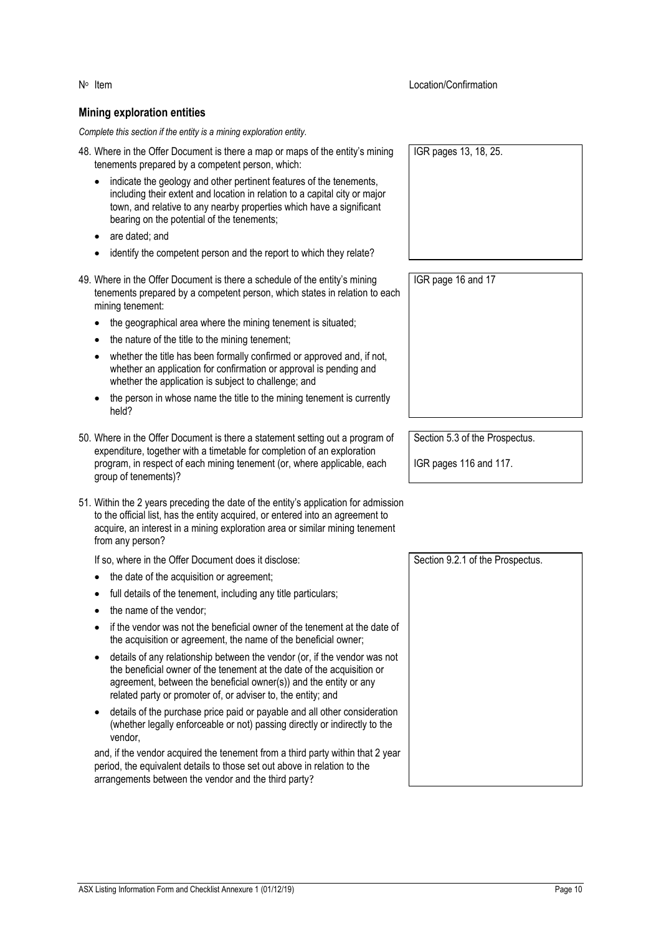## **Mining exploration entities**

*Complete this section if the entity is a mining exploration entity.*

- 48. Where in the Offer Document is there a map or maps of the entity's mining tenements prepared by a competent person, which:
	- indicate the geology and other pertinent features of the tenements, including their extent and location in relation to a capital city or major town, and relative to any nearby properties which have a significant bearing on the potential of the tenements;
	- are dated; and
	- identify the competent person and the report to which they relate?
- 49. Where in the Offer Document is there a schedule of the entity's mining tenements prepared by a competent person, which states in relation to each mining tenement:
	- the geographical area where the mining tenement is situated;
	- the nature of the title to the mining tenement;
	- whether the title has been formally confirmed or approved and, if not, whether an application for confirmation or approval is pending and whether the application is subject to challenge; and
	- the person in whose name the title to the mining tenement is currently held?
- 50. Where in the Offer Document is there a statement setting out a program of expenditure, together with a timetable for completion of an exploration program, in respect of each mining tenement (or, where applicable, each group of tenements)?
- 51. Within the 2 years preceding the date of the entity's application for admission to the official list, has the entity acquired, or entered into an agreement to acquire, an interest in a mining exploration area or similar mining tenement from any person?

If so, where in the Offer Document does it disclose:

- the date of the acquisition or agreement;
- full details of the tenement, including any title particulars;
- the name of the vendor;
- if the vendor was not the beneficial owner of the tenement at the date of the acquisition or agreement, the name of the beneficial owner;
- details of any relationship between the vendor (or, if the vendor was not the beneficial owner of the tenement at the date of the acquisition or agreement, between the beneficial owner(s)) and the entity or any related party or promoter of, or adviser to, the entity; and
- details of the purchase price paid or payable and all other consideration (whether legally enforceable or not) passing directly or indirectly to the vendor,

and, if the vendor acquired the tenement from a third party within that 2 year period, the equivalent details to those set out above in relation to the arrangements between the vendor and the third party?

IGR pages 13, 18, 25.

**Location/Confirmation** 

IGR page 16 and 17

Section 5.3 of the Prospectus.

IGR pages 116 and 117.

Section 9.2.1 of the Prospectus.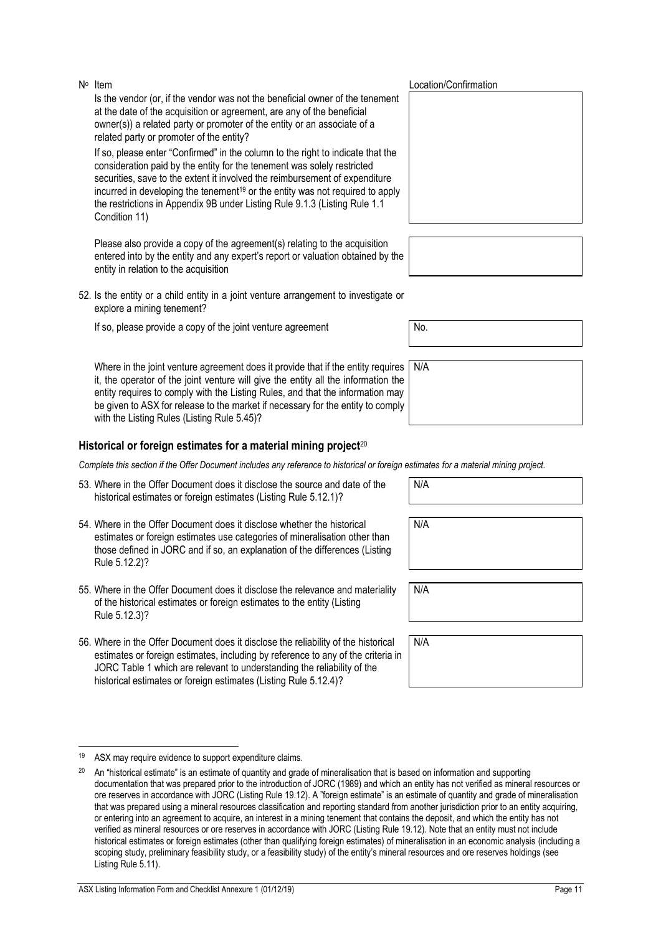Is the vendor (or, if the vendor was not the beneficial owner of the tenement at the date of the acquisition or agreement, are any of the beneficial owner(s)) a related party or promoter of the entity or an associate of a related party or promoter of the entity?

If so, please enter "Confirmed" in the column to the right to indicate that the consideration paid by the entity for the tenement was solely restricted securities, save to the extent it involved the reimbursement of expenditure incurred in developing the tenement<sup>19</sup> or the entity was not required to apply the restrictions in Appendix 9B under Listing Rule 9.1.3 (Listing Rule 1.1 Condition 11)

Please also provide a copy of the agreement(s) relating to the acquisition entered into by the entity and any expert's report or valuation obtained by the entity in relation to the acquisition

52. Is the entity or a child entity in a joint venture arrangement to investigate or explore a mining tenement?

If so, please provide a copy of the joint venture agreement  $\vert$  No.

Where in the joint venture agreement does it provide that if the entity requires it, the operator of the joint venture will give the entity all the information the entity requires to comply with the Listing Rules, and that the information may be given to ASX for release to the market if necessary for the entity to comply with the Listing Rules (Listing Rule 5.45)?

### **Historical or foreign estimates for a material mining project**<sup>20</sup>

*Complete this section if the Offer Document includes any reference to historical or foreign estimates for a material mining project.*

- 53. Where in the Offer Document does it disclose the source and date of the historical estimates or foreign estimates (Listing Rule 5.12.1)?
- 54. Where in the Offer Document does it disclose whether the historical estimates or foreign estimates use categories of mineralisation other than those defined in JORC and if so, an explanation of the differences (Listing Rule 5.12.2)?
- 55. Where in the Offer Document does it disclose the relevance and materiality of the historical estimates or foreign estimates to the entity (Listing Rule 5.12.3)?
- 56. Where in the Offer Document does it disclose the reliability of the historical estimates or foreign estimates, including by reference to any of the criteria in JORC Table 1 which are relevant to understanding the reliability of the historical estimates or foreign estimates (Listing Rule 5.12.4)?

#### Location/Confirmation

|              | $\mathsf{N}/\mathsf{A}$ |  |
|--------------|-------------------------|--|
| €            |                         |  |
| $\mathbf{r}$ |                         |  |
| ı            |                         |  |
|              |                         |  |

N/A

N/A

N/A

<sup>19</sup> ASX may require evidence to support expenditure claims.

<sup>&</sup>lt;sup>20</sup> An "historical estimate" is an estimate of quantity and grade of mineralisation that is based on information and supporting documentation that was prepared prior to the introduction of JORC (1989) and which an entity has not verified as mineral resources or ore reserves in accordance with JORC (Listing Rule 19.12). A "foreign estimate" is an estimate of quantity and grade of mineralisation that was prepared using a mineral resources classification and reporting standard from another jurisdiction prior to an entity acquiring, or entering into an agreement to acquire, an interest in a mining tenement that contains the deposit, and which the entity has not verified as mineral resources or ore reserves in accordance with JORC (Listing Rule 19.12). Note that an entity must not include historical estimates or foreign estimates (other than qualifying foreign estimates) of mineralisation in an economic analysis (including a scoping study, preliminary feasibility study, or a feasibility study) of the entity's mineral resources and ore reserves holdings (see Listing Rule 5.11).